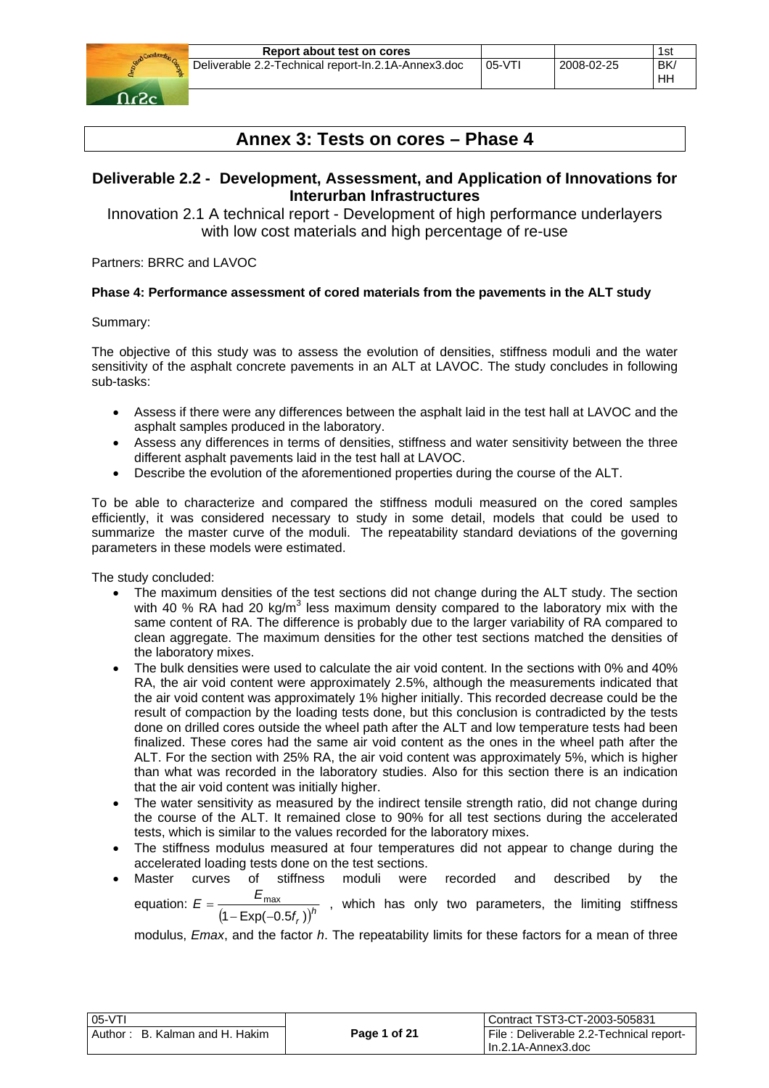

# **Annex 3: Tests on cores – Phase 4**

# **Deliverable 2.2 - Development, Assessment, and Application of Innovations for Interurban Infrastructures**

Innovation 2.1 A technical report - Development of high performance underlayers with low cost materials and high percentage of re-use

Partners: BRRC and LAVOC

### **Phase 4: Performance assessment of cored materials from the pavements in the ALT study**

Summary:

The objective of this study was to assess the evolution of densities, stiffness moduli and the water sensitivity of the asphalt concrete pavements in an ALT at LAVOC. The study concludes in following sub-tasks:

- Assess if there were any differences between the asphalt laid in the test hall at LAVOC and the asphalt samples produced in the laboratory.
- Assess any differences in terms of densities, stiffness and water sensitivity between the three different asphalt pavements laid in the test hall at LAVOC.
- Describe the evolution of the aforementioned properties during the course of the ALT.

To be able to characterize and compared the stiffness moduli measured on the cored samples efficiently, it was considered necessary to study in some detail, models that could be used to summarize the master curve of the moduli. The repeatability standard deviations of the governing parameters in these models were estimated.

The study concluded:

- The maximum densities of the test sections did not change during the ALT study. The section with 40 % RA had 20 kg/m<sup>3</sup> less maximum density compared to the laboratory mix with the same content of RA. The difference is probably due to the larger variability of RA compared to clean aggregate. The maximum densities for the other test sections matched the densities of the laboratory mixes.
- The bulk densities were used to calculate the air void content. In the sections with 0% and 40% RA, the air void content were approximately 2.5%, although the measurements indicated that the air void content was approximately 1% higher initially. This recorded decrease could be the result of compaction by the loading tests done, but this conclusion is contradicted by the tests done on drilled cores outside the wheel path after the ALT and low temperature tests had been finalized. These cores had the same air void content as the ones in the wheel path after the ALT. For the section with 25% RA, the air void content was approximately 5%, which is higher than what was recorded in the laboratory studies. Also for this section there is an indication that the air void content was initially higher.
- The water sensitivity as measured by the indirect tensile strength ratio, did not change during the course of the ALT. It remained close to 90% for all test sections during the accelerated tests, which is similar to the values recorded for the laboratory mixes.
- The stiffness modulus measured at four temperatures did not appear to change during the accelerated loading tests done on the test sections.
- Master curves of stiffness moduli were recorded and described by the equation:  $E = \frac{E_{\text{max}}}{(1 - \text{Exp}(-0.5f_r))^h}$  $E = \frac{E}{\sqrt{2\pi}}$  $1 - \text{Exp}(-0.5f_r)$  $=\frac{E_{\text{max}}}{(1 - \text{Exp}(-0.5f_r))^h}$ , which has only two parameters, the limiting stiffness

modulus, *Emax*, and the factor *h*. The repeatability limits for these factors for a mean of three

| 05-VTI                         |              | Contract TST3-CT-2003-505831            |
|--------------------------------|--------------|-----------------------------------------|
| Author: B. Kalman and H. Hakim | Page 1 of 21 | File: Deliverable 2.2-Technical report- |
|                                |              | IIn.2.1A-Annex3.doc                     |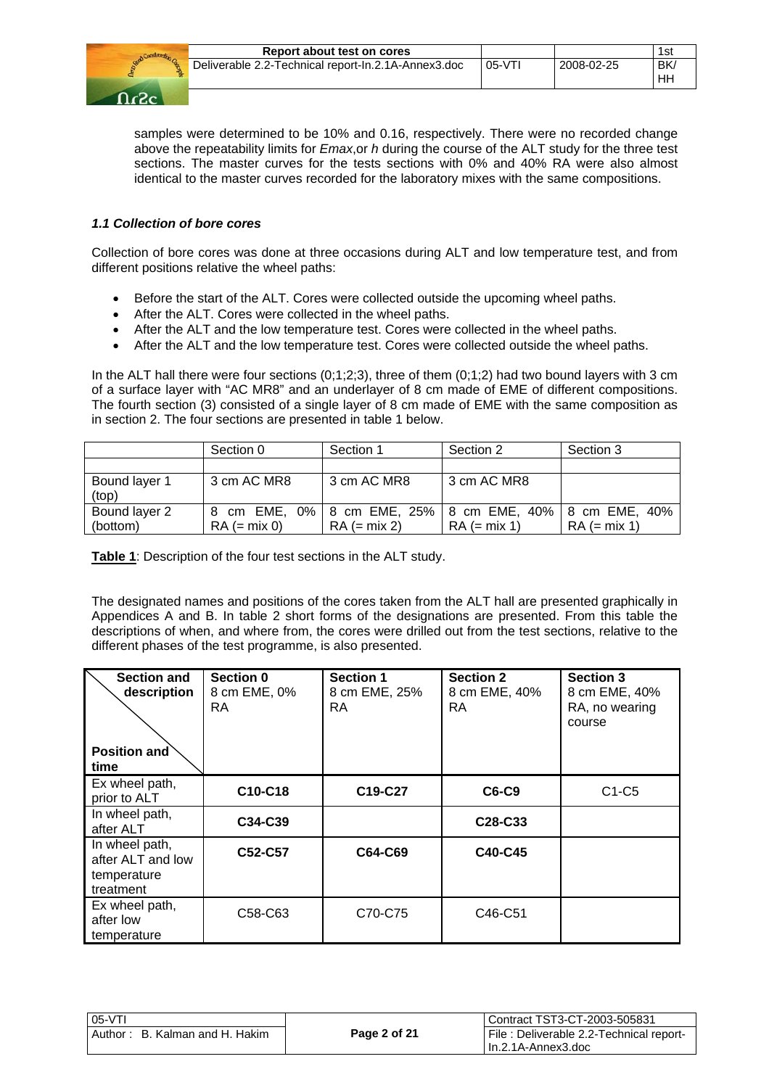

samples were determined to be 10% and 0.16, respectively. There were no recorded change above the repeatability limits for *Emax*,or *h* during the course of the ALT study for the three test sections. The master curves for the tests sections with 0% and 40% RA were also almost identical to the master curves recorded for the laboratory mixes with the same compositions.

### *1.1 Collection of bore cores*

Collection of bore cores was done at three occasions during ALT and low temperature test, and from different positions relative the wheel paths:

- Before the start of the ALT. Cores were collected outside the upcoming wheel paths.
- After the ALT. Cores were collected in the wheel paths.
- After the ALT and the low temperature test. Cores were collected in the wheel paths.
- After the ALT and the low temperature test. Cores were collected outside the wheel paths.

In the ALT hall there were four sections (0;1;2;3), three of them (0;1;2) had two bound layers with 3 cm of a surface layer with "AC MR8" and an underlayer of 8 cm made of EME of different compositions. The fourth section (3) consisted of a single layer of 8 cm made of EME with the same composition as in section 2. The four sections are presented in table 1 below.

|                           | Section 0      | Section 1                                                                | Section 2      | Section 3      |
|---------------------------|----------------|--------------------------------------------------------------------------|----------------|----------------|
|                           |                |                                                                          |                |                |
| Bound layer 1<br>(top)    | 3 cm AC MR8    | 3 cm AC MR8                                                              | 3 cm AC MR8    |                |
| Bound layer 2<br>(bottom) | $RA (= mix 0)$ | 8 cm EME, 0% 8 cm EME, 25% 8 cm EME, 40% 8 cm EME, 40%<br>$RA (= mix 2)$ | $RA (= mix 1)$ | $RA (= mix 1)$ |

**Table 1**: Description of the four test sections in the ALT study.

The designated names and positions of the cores taken from the ALT hall are presented graphically in Appendices A and B. In table 2 short forms of the designations are presented. From this table the descriptions of when, and where from, the cores were drilled out from the test sections, relative to the different phases of the test programme, is also presented.

| <b>Section and</b><br>description<br><b>Position and</b><br>time | Section 0<br>8 cm EME, 0%<br>RA | <b>Section 1</b><br>8 cm EME, 25%<br><b>RA</b> | <b>Section 2</b><br>8 cm EME, 40%<br>RA | <b>Section 3</b><br>8 cm EME, 40%<br>RA, no wearing<br>course |
|------------------------------------------------------------------|---------------------------------|------------------------------------------------|-----------------------------------------|---------------------------------------------------------------|
| Ex wheel path,<br>prior to ALT                                   | C10-C18                         | C19-C27                                        | C6-C9                                   | $C1-C5$                                                       |
| In wheel path,<br>after ALT                                      | C34-C39                         |                                                | C <sub>28</sub> -C <sub>33</sub>        |                                                               |
| In wheel path,<br>after ALT and low<br>temperature<br>treatment  | C52-C57                         | C64-C69                                        | C40-C45                                 |                                                               |
| Ex wheel path,<br>after low<br>temperature                       | C58-C63                         | C70-C75                                        | C46-C51                                 |                                                               |

| $05-VT$                        |              | Contract TST3-CT-2003-505831            |
|--------------------------------|--------------|-----------------------------------------|
| Author: B. Kalman and H. Hakim | Page 2 of 21 | File: Deliverable 2.2-Technical report- |
|                                |              | l In.2.1A-Annex3.doc                    |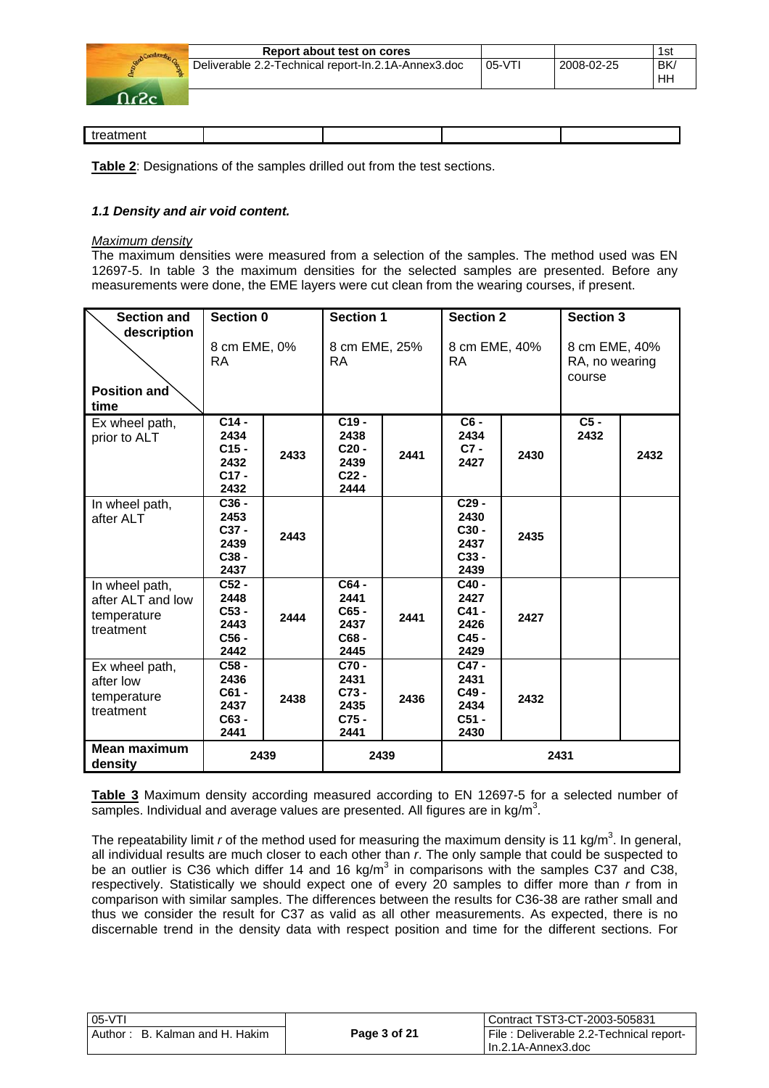| Report about test on cores                          |         |            | 1st       |
|-----------------------------------------------------|---------|------------|-----------|
| Deliverable 2.2-Technical report-In.2.1A-Annex3.doc | $05-VT$ | 2008-02-25 | <b>BK</b> |
|                                                     |         |            | Hh        |
|                                                     |         |            |           |

**Table 2**: Designations of the samples drilled out from the test sections.

#### *1.1 Density and air void content.*

#### *Maximum density*

The maximum densities were measured from a selection of the samples. The method used was EN 12697-5. In table 3 the maximum densities for the selected samples are presented. Before any measurements were done, the EME layers were cut clean from the wearing courses, if present.

| <b>Section and</b><br>description                               | Section 0                                                     |      | <b>Section 1</b>                                      |      | <b>Section 2</b>                                    |      | <b>Section 3</b>                          |      |
|-----------------------------------------------------------------|---------------------------------------------------------------|------|-------------------------------------------------------|------|-----------------------------------------------------|------|-------------------------------------------|------|
| Position and<br>time                                            | 8 cm EME, 0%<br><b>RA</b>                                     |      | 8 cm EME, 25%<br><b>RA</b>                            |      | 8 cm EME, 40%<br><b>RA</b>                          |      | 8 cm EME, 40%<br>RA, no wearing<br>course |      |
| Ex wheel path,<br>prior to ALT                                  | C <sub>14</sub><br>2434<br>$C15 -$<br>2432<br>$C17 -$<br>2432 | 2433 | $C19 -$<br>2438<br>$C20 -$<br>2439<br>$C22$ -<br>2444 | 2441 | $\overline{C6}$ -<br>2434<br>$C7 -$<br>2427         | 2430 | $C5 -$<br>2432                            | 2432 |
| In wheel path,<br>after ALT                                     | $C36 -$<br>2453<br>C37 -<br>2439<br>$C38 -$<br>2437           | 2443 |                                                       |      | $C29 -$<br>2430<br>C30 -<br>2437<br>$C33 -$<br>2439 | 2435 |                                           |      |
| In wheel path,<br>after ALT and low<br>temperature<br>treatment | $C52 -$<br>2448<br>$C53 -$<br>2443<br>$C56 -$<br>2442         | 2444 | C64 -<br>2441<br>C65 -<br>2437<br>C68-<br>2445        | 2441 | C40 -<br>2427<br>$C41 -$<br>2426<br>C45 -<br>2429   | 2427 |                                           |      |
| Ex wheel path,<br>after low<br>temperature<br>treatment         | $C58 -$<br>2436<br>$C61 -$<br>2437<br>$C63 -$<br>2441         | 2438 | C70-<br>2431<br>$C73 -$<br>2435<br>$C75$ .<br>2441    | 2436 | C47 -<br>2431<br>C49-<br>2434<br>$C51 -$<br>2430    | 2432 |                                           |      |
| Mean maximum<br>density                                         | 2439                                                          |      | 2439                                                  |      |                                                     | 2431 |                                           |      |

**Table 3** Maximum density according measured according to EN 12697-5 for a selected number of samples. Individual and average values are presented. All figures are in  $kg/m<sup>3</sup>$ .

The repeatability limit *r* of the method used for measuring the maximum density is 11 kg/m<sup>3</sup>. In general, all individual results are much closer to each other than *r*. The only sample that could be suspected to be an outlier is C36 which differ 14 and 16 kg/m<sup>3</sup> in comparisons with the samples C37 and C38, respectively. Statistically we should expect one of every 20 samples to differ more than *r* from in comparison with similar samples. The differences between the results for C36-38 are rather small and thus we consider the result for C37 as valid as all other measurements. As expected, there is no discernable trend in the density data with respect position and time for the different sections. For

| $05-VT$                        |              | Contract TST3-CT-2003-505831            |
|--------------------------------|--------------|-----------------------------------------|
| Author: B. Kalman and H. Hakim | Page 3 of 21 | File: Deliverable 2.2-Technical report- |
|                                |              | l In.2.1A-Annex3.doc                    |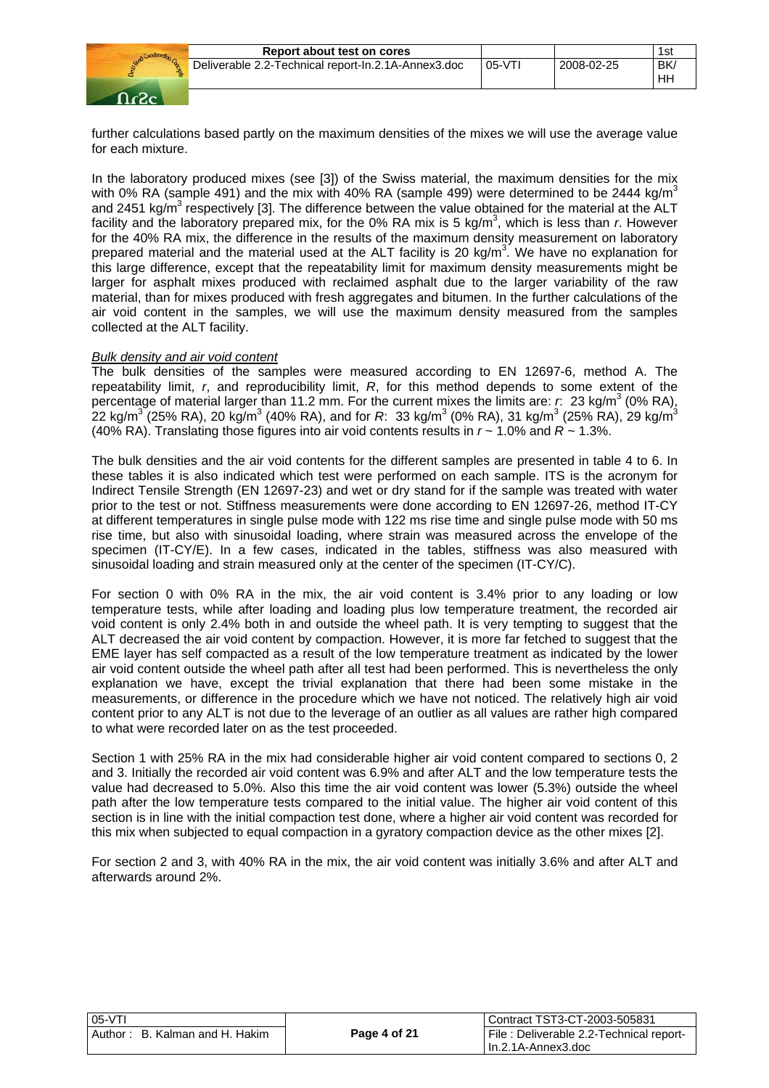

further calculations based partly on the maximum densities of the mixes we will use the average value for each mixture.

In the laboratory produced mixes (see [3]) of the Swiss material, the maximum densities for the mix with 0% RA (sample 491) and the mix with 40% RA (sample 499) were determined to be 2444 kg/m<sup>3</sup> and 2451 kg/m<sup>3</sup> respectively [3]. The difference between the value obtained for the material at the ALT facility and the laboratory prepared mix, for the 0% RA mix is 5 kg/m<sup>3</sup>, which is less than *r*. However for the 40% RA mix, the difference in the results of the maximum density measurement on laboratory prepared material and the material used at the ALT facility is 20 kg/m<sup>3</sup>. We have no explanation for this large difference, except that the repeatability limit for maximum density measurements might be larger for asphalt mixes produced with reclaimed asphalt due to the larger variability of the raw material, than for mixes produced with fresh aggregates and bitumen. In the further calculations of the air void content in the samples, we will use the maximum density measured from the samples collected at the ALT facility.

#### *Bulk density and air void content*

The bulk densities of the samples were measured according to EN 12697-6, method A. The repeatability limit, *r*, and reproducibility limit, *R*, for this method depends to some extent of the percentage of material larger than 11.2 mm. For the current mixes the limits are:  $r$ : 23 kg/m<sup>3</sup> (0% RA),  $2$ 2 kg/m $^3$  (25% RA), 20 kg/m $^3$  (40% RA), and for *R*: 33 kg/m $^3$  (0% RA), 31 kg/m $^3$  (25% RA), 29 kg/m $^3$ (40% RA). Translating those figures into air void contents results in *r* ~ 1.0% and *R* ~ 1.3%.

The bulk densities and the air void contents for the different samples are presented in table 4 to 6. In these tables it is also indicated which test were performed on each sample. ITS is the acronym for Indirect Tensile Strength (EN 12697-23) and wet or dry stand for if the sample was treated with water prior to the test or not. Stiffness measurements were done according to EN 12697-26, method IT-CY at different temperatures in single pulse mode with 122 ms rise time and single pulse mode with 50 ms rise time, but also with sinusoidal loading, where strain was measured across the envelope of the specimen (IT-CY/E). In a few cases, indicated in the tables, stiffness was also measured with sinusoidal loading and strain measured only at the center of the specimen (IT-CY/C).

For section 0 with 0% RA in the mix, the air void content is 3.4% prior to any loading or low temperature tests, while after loading and loading plus low temperature treatment, the recorded air void content is only 2.4% both in and outside the wheel path. It is very tempting to suggest that the ALT decreased the air void content by compaction. However, it is more far fetched to suggest that the EME layer has self compacted as a result of the low temperature treatment as indicated by the lower air void content outside the wheel path after all test had been performed. This is nevertheless the only explanation we have, except the trivial explanation that there had been some mistake in the measurements, or difference in the procedure which we have not noticed. The relatively high air void content prior to any ALT is not due to the leverage of an outlier as all values are rather high compared to what were recorded later on as the test proceeded.

Section 1 with 25% RA in the mix had considerable higher air void content compared to sections 0, 2 and 3. Initially the recorded air void content was 6.9% and after ALT and the low temperature tests the value had decreased to 5.0%. Also this time the air void content was lower (5.3%) outside the wheel path after the low temperature tests compared to the initial value. The higher air void content of this section is in line with the initial compaction test done, where a higher air void content was recorded for this mix when subjected to equal compaction in a gyratory compaction device as the other mixes [2].

For section 2 and 3, with 40% RA in the mix, the air void content was initially 3.6% and after ALT and afterwards around 2%.

| 05-VTI                         |              | Contract TST3-CT-2003-505831             |
|--------------------------------|--------------|------------------------------------------|
| Author: B. Kalman and H. Hakim | Page 4 of 21 | File : Deliverable 2.2-Technical report- |
|                                |              | I In.2.1A-Annex3.doc                     |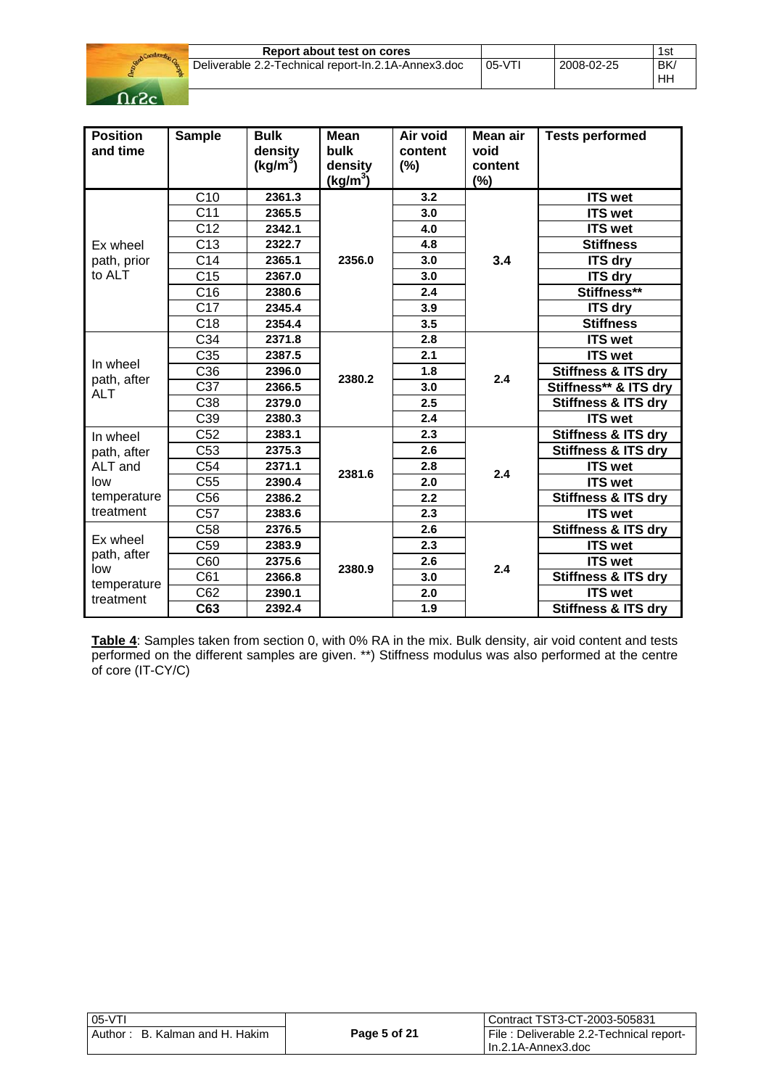

| Report about test on cores                          |          |            | 1si       |
|-----------------------------------------------------|----------|------------|-----------|
| Deliverable 2.2-Technical report-In.2.1A-Annex3.doc | $05-VT1$ | 2008-02-25 | <b>BK</b> |
|                                                     |          |            | ΗH        |

| <b>Position</b><br>and time | <b>Sample</b>   | <b>Bulk</b><br>density<br>(kg/m <sup>3</sup> ) | <b>Mean</b><br><b>bulk</b><br>density<br>$(kg/m^3)$ | Air void<br>content<br>(%) | Mean air<br>void<br>content<br>(%) | <b>Tests performed</b>         |
|-----------------------------|-----------------|------------------------------------------------|-----------------------------------------------------|----------------------------|------------------------------------|--------------------------------|
|                             | C10             | 2361.3                                         |                                                     | 3.2                        |                                    | <b>ITS wet</b>                 |
|                             | C <sub>11</sub> | 2365.5                                         |                                                     | 3.0                        |                                    | <b>ITS wet</b>                 |
|                             | C12             | 2342.1                                         |                                                     | 4.0                        |                                    | <b>ITS wet</b>                 |
| Ex wheel                    | C13             | 2322.7                                         |                                                     | 4.8                        |                                    | <b>Stiffness</b>               |
| path, prior                 | C <sub>14</sub> | 2365.1                                         | 2356.0                                              | 3.0                        | 3.4                                | <b>ITS dry</b>                 |
| to ALT                      | C <sub>15</sub> | 2367.0                                         |                                                     | 3.0                        |                                    | <b>ITS dry</b>                 |
|                             | C16             | 2380.6                                         |                                                     | 2.4                        |                                    | Stiffness**                    |
|                             | C17             | 2345.4                                         |                                                     | 3.9                        |                                    | <b>ITS dry</b>                 |
|                             | C <sub>18</sub> | 2354.4                                         |                                                     | 3.5                        |                                    | <b>Stiffness</b>               |
|                             | C34             | 2371.8                                         |                                                     | 2.8                        |                                    | <b>ITS wet</b>                 |
|                             | C35             | 2387.5                                         | 2380.2                                              | 2.1                        |                                    | <b>ITS wet</b>                 |
| In wheel<br>path, after     | C36             | 2396.0                                         |                                                     | 1.8                        | 2.4                                | <b>Stiffness &amp; ITS dry</b> |
| <b>ALT</b>                  | C37             | 2366.5                                         |                                                     | 3.0                        |                                    | Stiffness** & ITS dry          |
|                             | C38             | 2379.0                                         |                                                     | 2.5                        |                                    | <b>Stiffness &amp; ITS dry</b> |
|                             | C39             | 2380.3                                         |                                                     | 2.4                        |                                    | <b>ITS</b> wet                 |
| In wheel                    | C52             | 2383.1                                         |                                                     | 2.3                        |                                    | <b>Stiffness &amp; ITS dry</b> |
| path, after                 | C <sub>53</sub> | 2375.3                                         |                                                     | 2.6                        |                                    | Stiffness & ITS dry            |
| ALT and                     | C54             | 2371.1                                         | 2381.6                                              | 2.8                        | 2.4                                | <b>ITS</b> wet                 |
| low                         | C <sub>55</sub> | 2390.4                                         |                                                     | 2.0                        |                                    | <b>ITS wet</b>                 |
| temperature                 | C <sub>56</sub> | 2386.2                                         |                                                     | 2.2                        |                                    | <b>Stiffness &amp; ITS dry</b> |
| treatment                   | C <sub>57</sub> | 2383.6                                         |                                                     | 2.3                        |                                    | <b>ITS wet</b>                 |
|                             | C58             | 2376.5                                         |                                                     | 2.6                        |                                    | Stiffness & ITS dry            |
| Ex wheel                    | C <sub>59</sub> | 2383.9                                         |                                                     | 2.3                        |                                    | <b>ITS</b> wet                 |
| path, after<br>low          | C60             | 2375.6                                         | 2380.9                                              | 2.6                        | 2.4                                | <b>ITS wet</b>                 |
| temperature                 | C61             | 2366.8                                         |                                                     | 3.0                        |                                    | <b>Stiffness &amp; ITS dry</b> |
| treatment                   | C62             | 2390.1                                         |                                                     | 2.0                        |                                    | <b>ITS wet</b>                 |
|                             | C63             | 2392.4                                         |                                                     | 1.9                        |                                    | <b>Stiffness &amp; ITS dry</b> |

**Table 4**: Samples taken from section 0, with 0% RA in the mix. Bulk density, air void content and tests performed on the different samples are given. \*\*) Stiffness modulus was also performed at the centre of core (IT-CY/C)

| $05-VT$                           |              | Contract TST3-CT-2003-505831            |
|-----------------------------------|--------------|-----------------------------------------|
| B. Kalman and H. Hakim<br>Author: | Page 5 of 21 | File: Deliverable 2.2-Technical report- |
|                                   |              | l In.2.1A-Annex3.doc                    |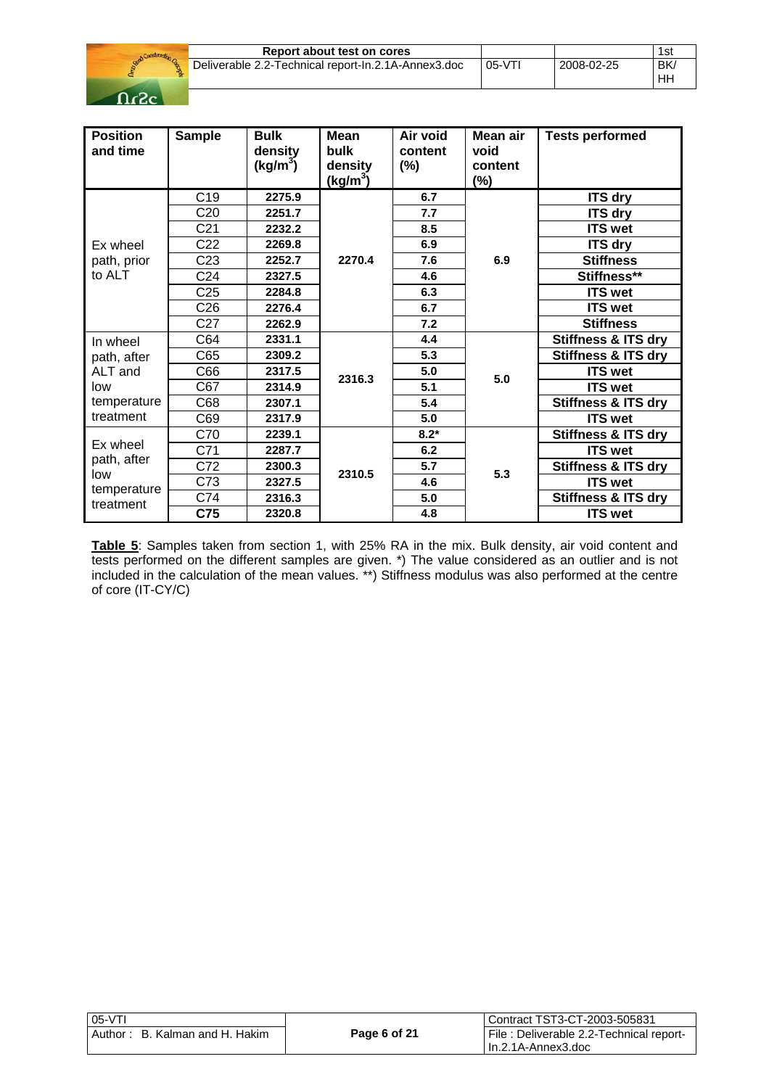

| Report about test on cores                          |                      |            | 1st       |
|-----------------------------------------------------|----------------------|------------|-----------|
| Deliverable 2.2-Technical report-In.2.1A-Annex3.doc | $\overline{05}$ -VTI | 2008-02-25 | <b>BK</b> |
|                                                     |                      |            | HH        |

| <b>Position</b><br>and time                                           | <b>Sample</b>   | <b>Bulk</b><br>density<br>$(kg/m^3)$ | Mean<br>bulk<br>density<br><u>(kg/</u> m <sup>3</sup> ) | Air void<br>content<br>(%) | Mean air<br>void<br>content<br>$(\%)$ | <b>Tests performed</b>         |
|-----------------------------------------------------------------------|-----------------|--------------------------------------|---------------------------------------------------------|----------------------------|---------------------------------------|--------------------------------|
|                                                                       | C <sub>19</sub> | 2275.9                               |                                                         | 6.7                        |                                       | <b>ITS dry</b>                 |
|                                                                       | C <sub>20</sub> | 2251.7                               |                                                         | 7.7                        |                                       | <b>ITS dry</b>                 |
|                                                                       | C <sub>21</sub> | 2232.2                               |                                                         | 8.5                        |                                       | <b>ITS wet</b>                 |
| Ex wheel                                                              | C <sub>22</sub> | 2269.8                               |                                                         | 6.9                        |                                       | <b>ITS dry</b>                 |
| path, prior                                                           | C <sub>23</sub> | 2252.7                               | 2270.4                                                  | 7.6                        | 6.9                                   | <b>Stiffness</b>               |
| to ALT                                                                | C <sub>24</sub> | 2327.5                               |                                                         | 4.6                        |                                       | Stiffness**                    |
|                                                                       | C <sub>25</sub> | 2284.8                               |                                                         | 6.3                        |                                       | <b>ITS wet</b>                 |
|                                                                       | C26             | 2276.4                               |                                                         | 6.7                        |                                       | <b>ITS wet</b>                 |
|                                                                       | C <sub>27</sub> | 2262.9                               |                                                         | 7.2                        |                                       | <b>Stiffness</b>               |
| In wheel<br>path, after<br>ALT and<br>low<br>temperature<br>treatment | C64             | 2331.1                               | 2316.3                                                  | 4.4                        |                                       | <b>Stiffness &amp; ITS dry</b> |
|                                                                       | C65             | 2309.2                               |                                                         | 5.3                        |                                       | <b>Stiffness &amp; ITS dry</b> |
|                                                                       | C66             | 2317.5                               |                                                         | 5.0                        | 5.0                                   | <b>ITS wet</b>                 |
|                                                                       | C67             | 2314.9                               |                                                         | 5.1                        |                                       | <b>ITS wet</b>                 |
|                                                                       | C68             | 2307.1                               |                                                         | 5.4                        |                                       | <b>Stiffness &amp; ITS dry</b> |
|                                                                       | C69             | 2317.9                               |                                                         | 5.0                        |                                       | <b>ITS</b> wet                 |
| Ex wheel<br>path, after                                               | C70             | 2239.1                               |                                                         | $8.2*$                     |                                       | <b>Stiffness &amp; ITS dry</b> |
|                                                                       | C71             | 2287.7                               |                                                         | 6.2                        |                                       | <b>ITS wet</b>                 |
|                                                                       | C72             | 2300.3                               | 2310.5                                                  | 5.7                        | 5.3                                   | <b>Stiffness &amp; ITS dry</b> |
| low<br>temperature                                                    | C73             | 2327.5                               |                                                         | 4.6                        |                                       | <b>ITS wet</b>                 |
| treatment                                                             | C74             | 2316.3                               |                                                         | 5.0                        |                                       | <b>Stiffness &amp; ITS dry</b> |
|                                                                       | C75             | 2320.8                               |                                                         | 4.8                        |                                       | <b>ITS wet</b>                 |

**Table 5**: Samples taken from section 1, with 25% RA in the mix. Bulk density, air void content and tests performed on the different samples are given. \*) The value considered as an outlier and is not included in the calculation of the mean values. \*\*) Stiffness modulus was also performed at the centre of core (IT-CY/C)

| $05-VT$                           |              | Contract TST3-CT-2003-505831            |
|-----------------------------------|--------------|-----------------------------------------|
| Author:<br>B. Kalman and H. Hakim | Page 6 of 21 | File: Deliverable 2.2-Technical report- |
|                                   |              | l In.2.1A-Annex3.doc                    |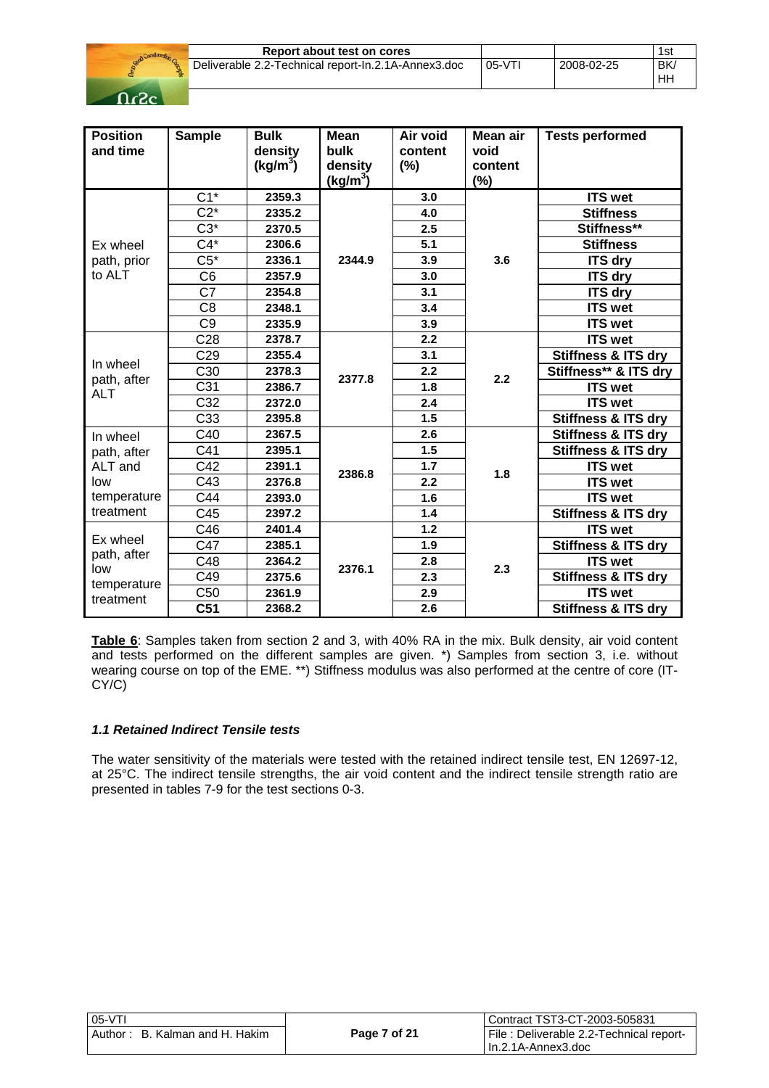

| Report about test on cores                          |         |            | 1st |
|-----------------------------------------------------|---------|------------|-----|
| Deliverable 2.2-Technical report-In.2.1A-Annex3.doc | $05-VT$ | 2008-02-25 | BK  |
|                                                     |         |            | HH  |

| <b>Position</b><br>and time | <b>Sample</b>    | <b>Bulk</b><br>density<br>(kg/m <sup>3</sup> ) | <b>Mean</b><br><b>bulk</b><br>density<br>$(kg/m^3)$ | Air void<br>content<br>(%) | Mean air<br>void<br>content<br>(%) | <b>Tests performed</b>         |
|-----------------------------|------------------|------------------------------------------------|-----------------------------------------------------|----------------------------|------------------------------------|--------------------------------|
|                             | $\overline{C1*}$ | 2359.3                                         |                                                     | 3.0                        |                                    | <b>ITS wet</b>                 |
|                             | $C2*$            | 2335.2                                         |                                                     | 4.0                        |                                    | <b>Stiffness</b>               |
|                             | $C3*$            | 2370.5                                         |                                                     | 2.5                        |                                    | Stiffness**                    |
| Ex wheel                    | $C4*$            | 2306.6                                         |                                                     | 5.1                        |                                    | <b>Stiffness</b>               |
| path, prior                 | $C5*$            | 2336.1                                         | 2344.9                                              | 3.9                        | 3.6                                | <b>ITS dry</b>                 |
| to ALT                      | C <sub>6</sub>   | 2357.9                                         |                                                     | 3.0                        |                                    | <b>ITS dry</b>                 |
|                             | C7               | 2354.8                                         |                                                     | 3.1                        |                                    | <b>ITS dry</b>                 |
|                             | $\overline{C8}$  | 2348.1                                         |                                                     | 3.4                        |                                    | <b>ITS wet</b>                 |
|                             | C <sub>9</sub>   | 2335.9                                         |                                                     | 3.9                        |                                    | <b>ITS wet</b>                 |
| In wheel                    | C <sub>28</sub>  | 2378.7                                         | 2377.8                                              | 2.2                        |                                    | <b>ITS wet</b>                 |
|                             | C <sub>29</sub>  | 2355.4                                         |                                                     | 3.1                        | 2.2                                | <b>Stiffness &amp; ITS dry</b> |
|                             | C <sub>30</sub>  | 2378.3                                         |                                                     | 2.2                        |                                    | Stiffness** & ITS dry          |
| path, after<br><b>ALT</b>   | C <sub>31</sub>  | 2386.7                                         |                                                     | 1.8                        |                                    | <b>ITS wet</b>                 |
|                             | $\overline{C32}$ | 2372.0                                         |                                                     | 2.4                        |                                    | <b>ITS wet</b>                 |
|                             | C33              | 2395.8                                         |                                                     | 1.5                        |                                    | <b>Stiffness &amp; ITS dry</b> |
| In wheel                    | C40              | 2367.5                                         |                                                     | 2.6                        |                                    | <b>Stiffness &amp; ITS dry</b> |
| path, after                 | C41              | 2395.1                                         |                                                     | 1.5                        |                                    | <b>Stiffness &amp; ITS dry</b> |
| ALT and                     | C42              | 2391.1                                         | 2386.8                                              | 1.7                        | 1.8                                | <b>ITS</b> wet                 |
| low                         | C43              | 2376.8                                         |                                                     | 2.2                        |                                    | <b>ITS wet</b>                 |
| temperature                 | C44              | 2393.0                                         |                                                     | 1.6                        |                                    | <b>ITS wet</b>                 |
| treatment                   | C45              | 2397.2                                         |                                                     | $1.4$                      |                                    | <b>Stiffness &amp; ITS dry</b> |
|                             | C46              | 2401.4                                         |                                                     | 1.2                        |                                    | <b>ITS</b> wet                 |
| Ex wheel                    | C47              | 2385.1                                         |                                                     | 1.9                        |                                    | <b>Stiffness &amp; ITS dry</b> |
| path, after                 | C48              | 2364.2                                         | 2376.1                                              | 2.8                        | 2.3                                | <b>ITS wet</b>                 |
| low<br>temperature          | C49              | 2375.6                                         |                                                     | 2.3                        |                                    | <b>Stiffness &amp; ITS dry</b> |
| treatment                   | $\overline{C50}$ | 2361.9                                         |                                                     | 2.9                        |                                    | <b>ITS wet</b>                 |
|                             | C51              | 2368.2                                         |                                                     | 2.6                        |                                    | <b>Stiffness &amp; ITS dry</b> |

**Table 6**: Samples taken from section 2 and 3, with 40% RA in the mix. Bulk density, air void content and tests performed on the different samples are given. \*) Samples from section 3, i.e. without wearing course on top of the EME. \*\*) Stiffness modulus was also performed at the centre of core (IT-CY/C)

### *1.1 Retained Indirect Tensile tests*

The water sensitivity of the materials were tested with the retained indirect tensile test, EN 12697-12, at 25°C. The indirect tensile strengths, the air void content and the indirect tensile strength ratio are presented in tables 7-9 for the test sections 0-3.

| $\mid$ 05-VTI                     |              | Contract TST3-CT-2003-505831            |
|-----------------------------------|--------------|-----------------------------------------|
| l Author: B. Kalman and H. Hakim_ | Page 7 of 21 | File: Deliverable 2.2-Technical report- |
|                                   |              | l In.2.1A-Annex3.doc                    |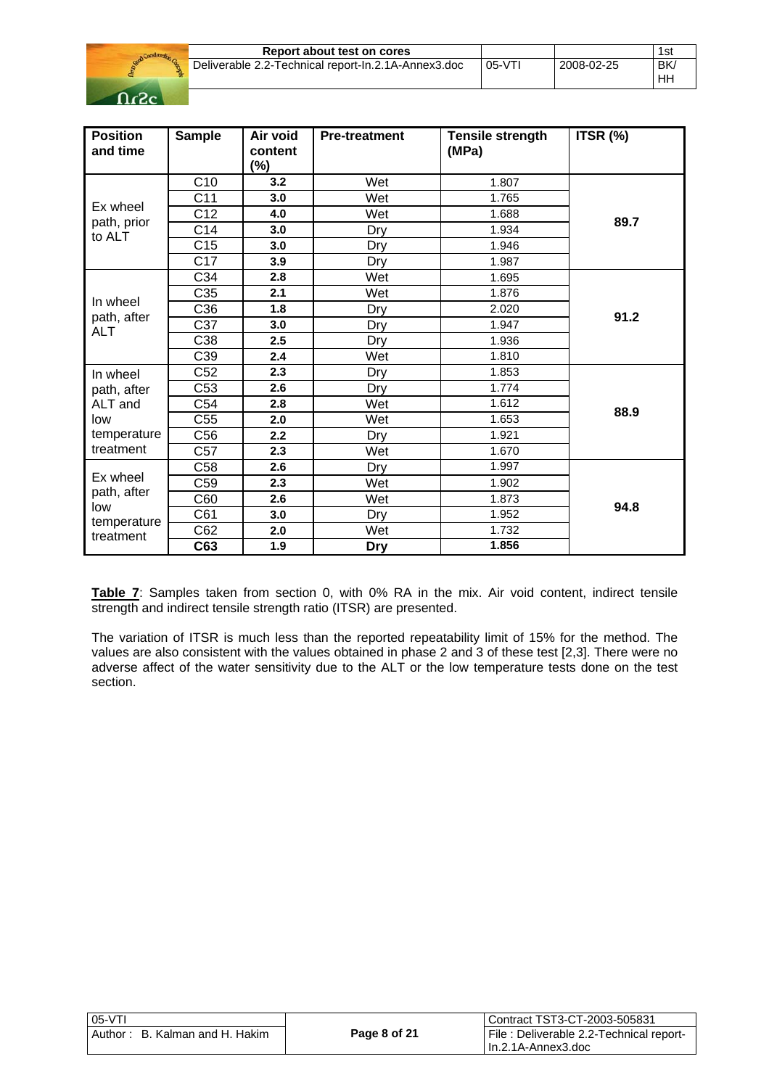

| Report about test on cores                          |         |            | 1sı             |
|-----------------------------------------------------|---------|------------|-----------------|
| Deliverable 2.2-Technical report-In.2.1A-Annex3.doc | $05-VT$ | 2008-02-25 | <b>BK</b><br>HF |

| <b>Position</b><br>and time                   | <b>Sample</b>   | Air void<br>content<br>$(\%)$ | <b>Pre-treatment</b> | <b>Tensile strength</b><br>(MPa) | ITSR (%) |
|-----------------------------------------------|-----------------|-------------------------------|----------------------|----------------------------------|----------|
|                                               | C10             | 3.2                           | Wet                  | 1.807                            |          |
|                                               | C <sub>11</sub> | 3.0                           | Wet                  | 1.765                            |          |
| Ex wheel                                      | C12             | 4.0                           | Wet                  | 1.688                            | 89.7     |
| path, prior<br>to ALT                         | C <sub>14</sub> | 3.0                           | Dry                  | 1.934                            |          |
|                                               | C <sub>15</sub> | 3.0                           | Dry                  | 1.946                            |          |
|                                               | C17             | 3.9                           | Dry                  | 1.987                            |          |
|                                               | C34             | 2.8                           | Wet                  | 1.695                            |          |
|                                               | C35             | 2.1                           | Wet                  | 1.876                            |          |
| In wheel                                      | C36             | 1.8                           | Dry                  | 2.020                            | 91.2     |
| path, after<br><b>ALT</b>                     | C37             | 3.0                           | Dry                  | 1.947                            |          |
|                                               | C38             | 2.5                           | Dry                  | 1.936                            |          |
|                                               | C39             | 2.4                           | Wet                  | 1.810                            |          |
| In wheel                                      | C52             | 2.3                           | Dry                  | 1.853                            |          |
| path, after                                   | C <sub>53</sub> | 2.6                           | Dry                  | 1.774                            |          |
| ALT and                                       | C54             | 2.8                           | Wet                  | 1.612                            | 88.9     |
| low                                           | C <sub>55</sub> | 2.0                           | Wet                  | 1.653                            |          |
| temperature                                   | C56             | 2.2                           | Dry                  | 1.921                            |          |
| treatment                                     | C <sub>57</sub> | 2.3                           | Wet                  | 1.670                            |          |
| Ex wheel<br>path, after<br>low<br>temperature | C58             | 2.6                           | Dry                  | 1.997                            |          |
|                                               | C59             | 2.3                           | Wet                  | 1.902                            |          |
|                                               | C60             | 2.6                           | Wet                  | 1.873                            | 94.8     |
|                                               | C61             | 3.0                           | Dry                  | 1.952                            |          |
| treatment                                     | C62             | 2.0                           | Wet                  | 1.732                            |          |
|                                               | C63             | 1.9                           | <b>Dry</b>           | 1.856                            |          |

**Table 7**: Samples taken from section 0, with 0% RA in the mix. Air void content, indirect tensile strength and indirect tensile strength ratio (ITSR) are presented.

The variation of ITSR is much less than the reported repeatability limit of 15% for the method. The values are also consistent with the values obtained in phase 2 and 3 of these test [2,3]. There were no adverse affect of the water sensitivity due to the ALT or the low temperature tests done on the test section.

| $\mid$ 05-VTI                     |              | Contract TST3-CT-2003-505831            |
|-----------------------------------|--------------|-----------------------------------------|
| l Author: B. Kalman and H. Hakim_ | Page 8 of 21 | File: Deliverable 2.2-Technical report- |
|                                   |              | l In.2.1A-Annex3.doc                    |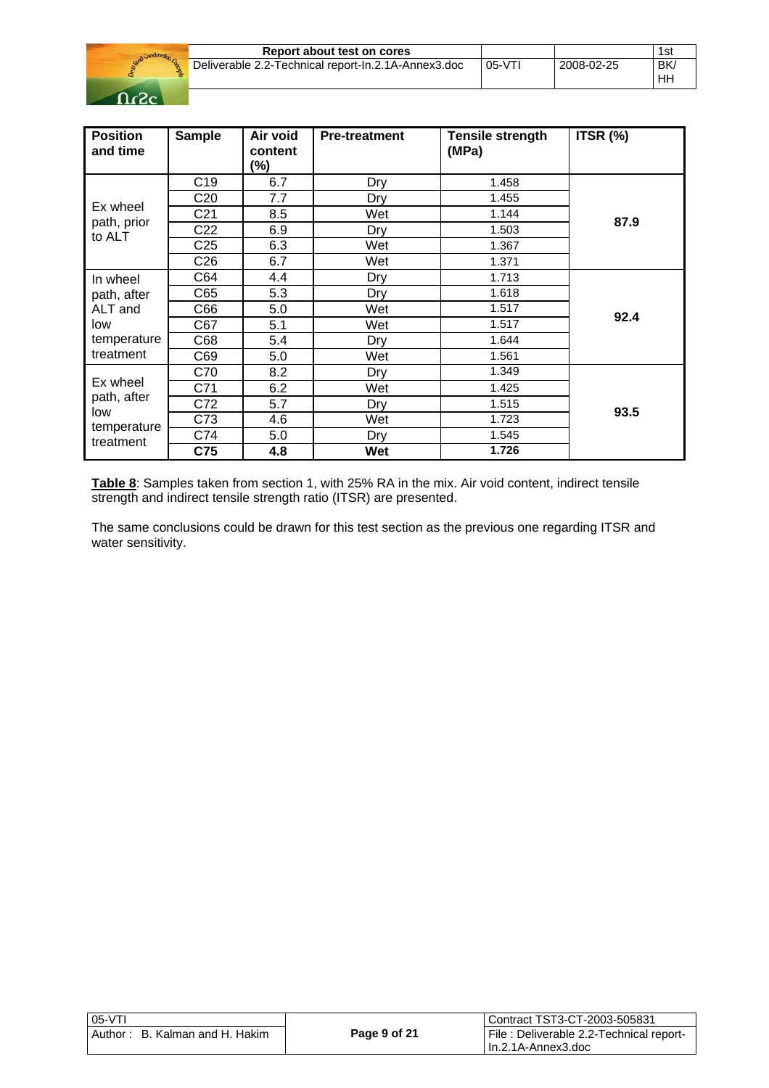

| Report about test on cores                            |        |            | 1sı      |
|-------------------------------------------------------|--------|------------|----------|
| Deliverable 2.2-Technical report-In.2.1A-Annex3.doc ' | 05-VTI | 2008-02-25 | BK<br>HН |

| <b>Position</b><br>and time    | <b>Sample</b>   | Air void<br>content<br>$(\%)$ | <b>Pre-treatment</b> | <b>Tensile strength</b><br>(MPa) | ITSR (%) |
|--------------------------------|-----------------|-------------------------------|----------------------|----------------------------------|----------|
|                                | C <sub>19</sub> | 6.7                           | Dry                  | 1.458                            |          |
|                                | C <sub>20</sub> | 7.7                           | Dry                  | 1.455                            |          |
| Ex wheel                       | C <sub>21</sub> | 8.5                           | Wet                  | 1.144                            |          |
| path, prior<br>to ALT          | C <sub>22</sub> | 6.9                           | Dry                  | 1.503                            | 87.9     |
|                                | C <sub>25</sub> | 6.3                           | Wet                  | 1.367                            |          |
|                                | C <sub>26</sub> | 6.7                           | Wet                  | 1.371                            |          |
| In wheel                       | C64             | 4.4                           | Dry                  | 1.713                            |          |
| path, after                    | C65             | 5.3                           | Dry                  | 1.618                            |          |
| ALT and                        | C66             | 5.0                           | Wet                  | 1.517                            |          |
| low                            | C67             | 5.1                           | Wet                  | 1.517                            | 92.4     |
| temperature                    | C68             | 5.4                           | Dry                  | 1.644                            |          |
| treatment                      | C69             | 5.0                           | Wet                  | 1.561                            |          |
| Ex wheel<br>path, after<br>low | C70             | 8.2                           | Dry                  | 1.349                            |          |
|                                | C71             | 6.2                           | Wet                  | 1.425                            |          |
|                                | C72             | 5.7                           | Dry                  | 1.515                            |          |
|                                | C73             | 4.6                           | Wet                  | 1.723                            | 93.5     |
| temperature<br>treatment       | C74             | 5.0                           | Dry                  | 1.545                            |          |
|                                | C75             | 4.8                           | Wet                  | 1.726                            |          |

**Table 8**: Samples taken from section 1, with 25% RA in the mix. Air void content, indirect tensile strength and indirect tensile strength ratio (ITSR) are presented.

The same conclusions could be drawn for this test section as the previous one regarding ITSR and water sensitivity.

| l 05-VTI                       |              | l Contract TST3-CT-2003-505831          |
|--------------------------------|--------------|-----------------------------------------|
| Author: B. Kalman and H. Hakim | Page 9 of 21 | File: Deliverable 2.2-Technical report- |
|                                |              | l In.2.1A-Annex3.doc                    |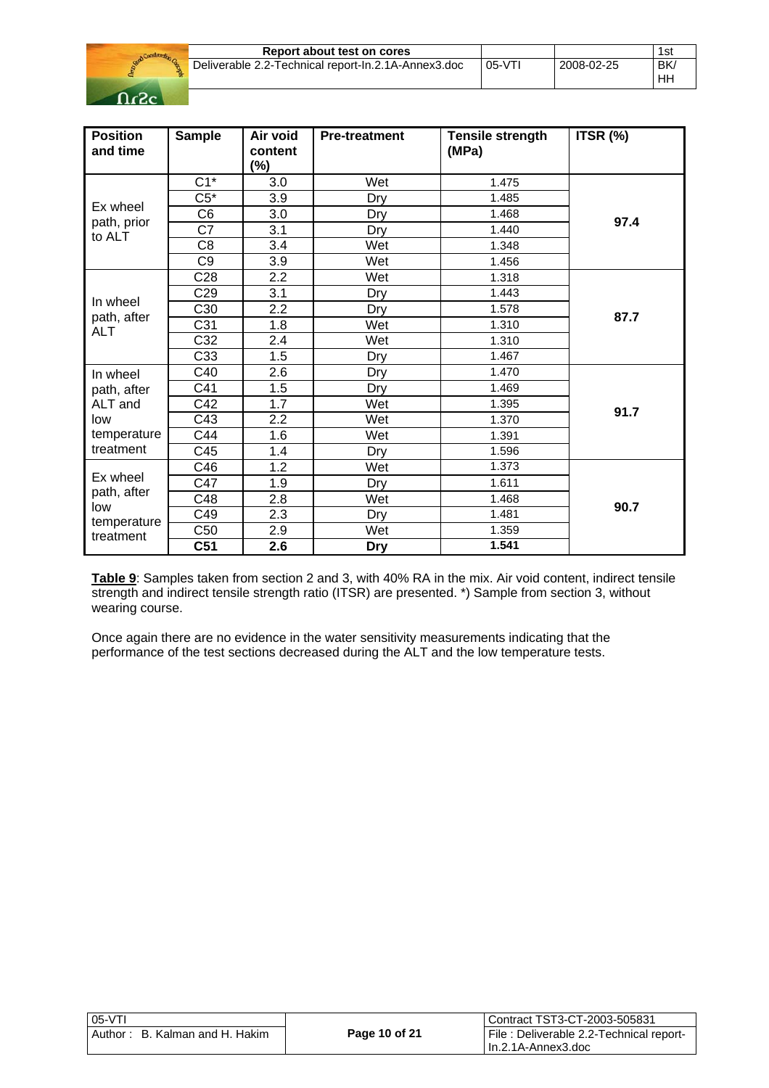

| Report about test on cores                          |         |            | 1st |
|-----------------------------------------------------|---------|------------|-----|
| Deliverable 2.2-Technical report-In.2.1A-Annex3.doc | $05-VT$ | 2008-02-25 | BK. |
|                                                     |         |            | ΗH  |

| <b>Position</b><br>and time | <b>Sample</b>   | Air void<br>content<br>$(\%)$ | <b>Pre-treatment</b> | <b>Tensile strength</b><br>(MPa) | ITSR (%) |
|-----------------------------|-----------------|-------------------------------|----------------------|----------------------------------|----------|
|                             | $C1^*$          | 3.0                           | Wet                  | 1.475                            |          |
|                             | $C5*$           | 3.9                           | Dry                  | 1.485                            |          |
| Ex wheel<br>path, prior     | C <sub>6</sub>  | 3.0                           | Dry                  | 1.468                            | 97.4     |
| to ALT                      | C7              | 3.1                           | Dry                  | 1.440                            |          |
|                             | C <sub>8</sub>  | 3.4                           | Wet                  | 1.348                            |          |
|                             | C <sub>9</sub>  | 3.9                           | Wet                  | 1.456                            |          |
|                             | C <sub>28</sub> | 2.2                           | Wet                  | 1.318                            |          |
|                             | C <sub>29</sub> | 3.1                           | Dry                  | 1.443                            |          |
| In wheel                    | C30             | 2.2                           | Dry                  | 1.578                            | 87.7     |
| path, after<br><b>ALT</b>   | C <sub>31</sub> | 1.8                           | Wet                  | 1.310                            |          |
|                             | C32             | 2.4                           | Wet                  | 1.310                            |          |
|                             | C33             | 1.5                           | Dry                  | 1.467                            |          |
| In wheel                    | C40             | 2.6                           | Dry                  | 1.470                            |          |
| path, after                 | C41             | 1.5                           | Dry                  | 1.469                            |          |
| ALT and                     | C42             | 1.7                           | Wet                  | 1.395                            | 91.7     |
| low                         | C43             | 2.2                           | Wet                  | 1.370                            |          |
| temperature                 | C44             | 1.6                           | Wet                  | 1.391                            |          |
| treatment                   | C45             | 1.4                           | Dry                  | 1.596                            |          |
|                             | C46             | 1.2                           | Wet                  | 1.373                            |          |
| Ex wheel                    | C47             | 1.9                           | Dry                  | 1.611                            |          |
| path, after<br>low          | C48             | 2.8                           | Wet                  | 1.468                            | 90.7     |
| temperature                 | C49             | 2.3                           | Dry                  | 1.481                            |          |
| treatment                   | C50             | 2.9                           | Wet                  | 1.359                            |          |
|                             | C <sub>51</sub> | 2.6                           | <b>Dry</b>           | 1.541                            |          |

**Table 9**: Samples taken from section 2 and 3, with 40% RA in the mix. Air void content, indirect tensile strength and indirect tensile strength ratio (ITSR) are presented. \*) Sample from section 3, without wearing course.

Once again there are no evidence in the water sensitivity measurements indicating that the performance of the test sections decreased during the ALT and the low temperature tests.

| 05-VTI                         |               | Contract TST3-CT-2003-505831                                     |
|--------------------------------|---------------|------------------------------------------------------------------|
| Author: B. Kalman and H. Hakim | Page 10 of 21 | File : Deliverable 2.2-Technical report-<br>I In.2.1A-Annex3.doc |
|                                |               |                                                                  |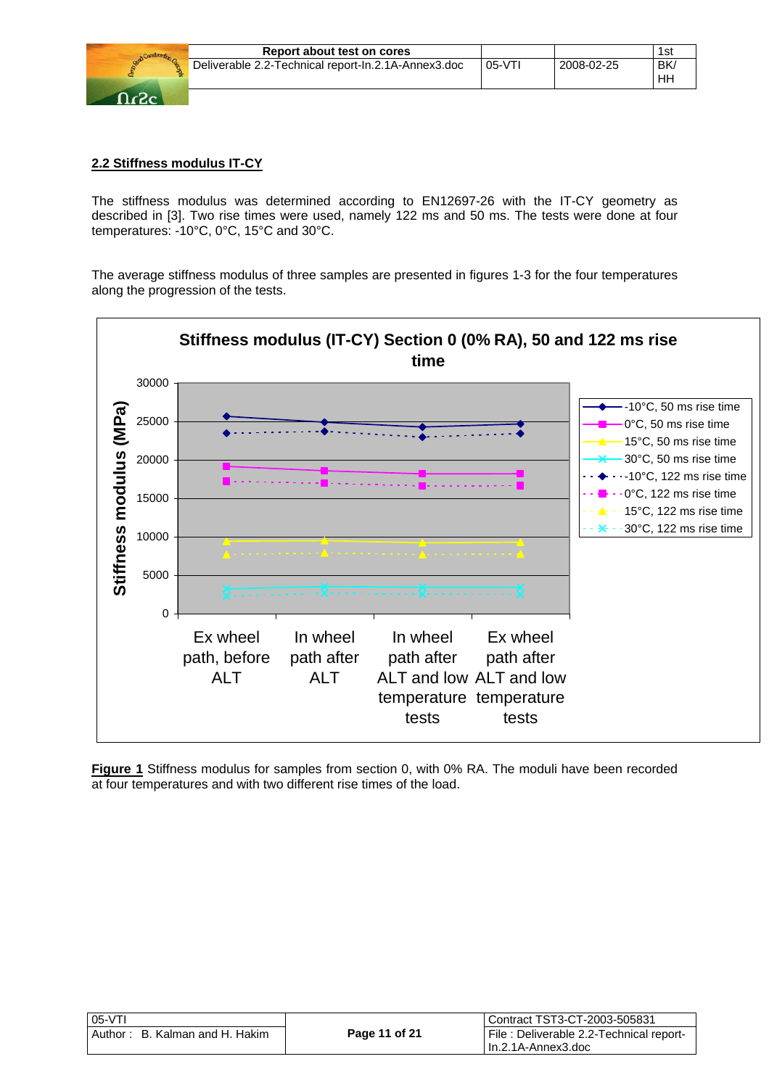

## **2.2 Stiffness modulus IT-CY**

The stiffness modulus was determined according to EN12697-26 with the IT-CY geometry as described in [3]. Two rise times were used, namely 122 ms and 50 ms. The tests were done at four temperatures: -10°C, 0°C, 15°C and 30°C.

The average stiffness modulus of three samples are presented in figures 1-3 for the four temperatures along the progression of the tests.



**Figure 1** Stiffness modulus for samples from section 0, with 0% RA. The moduli have been recorded at four temperatures and with two different rise times of the load.

| 05-VTI                         |               | l Contract TST3-CT-2003-505831          |
|--------------------------------|---------------|-----------------------------------------|
| Author: B. Kalman and H. Hakim | Page 11 of 21 | File: Deliverable 2.2-Technical report- |
|                                |               | l In.2.1A-Annex3.doc                    |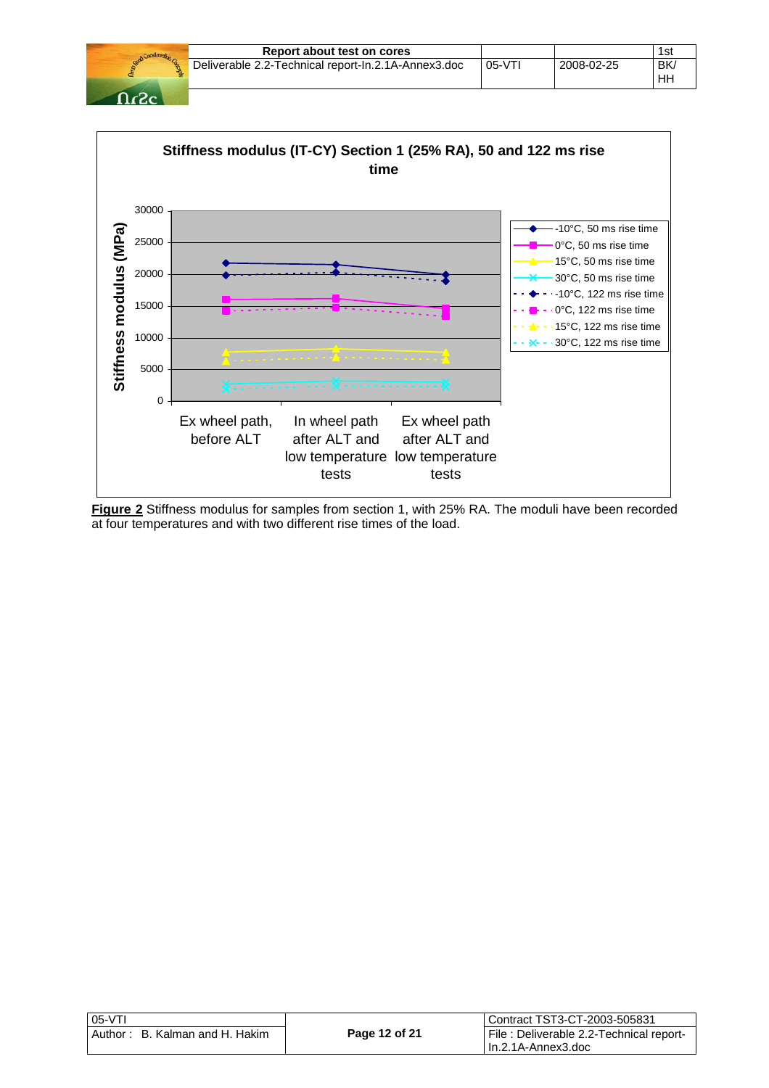|         | Report about test on cores                          |          |            | 1st             |
|---------|-----------------------------------------------------|----------|------------|-----------------|
|         | Deliverable 2.2-Technical report-In.2.1A-Annex3.doc | $05-VT1$ | 2008-02-25 | <b>BK</b><br>HН |
| - כי- ר |                                                     |          |            |                 |



**Figure 2** Stiffness modulus for samples from section 1, with 25% RA. The moduli have been recorded at four temperatures and with two different rise times of the load.

| $05-VT$                           |               | Contract TST3-CT-2003-505831            |
|-----------------------------------|---------------|-----------------------------------------|
| B. Kalman and H. Hakim<br>Author: | Page 12 of 21 | File: Deliverable 2.2-Technical report- |
|                                   |               | l In.2.1A-Annex3.doc                    |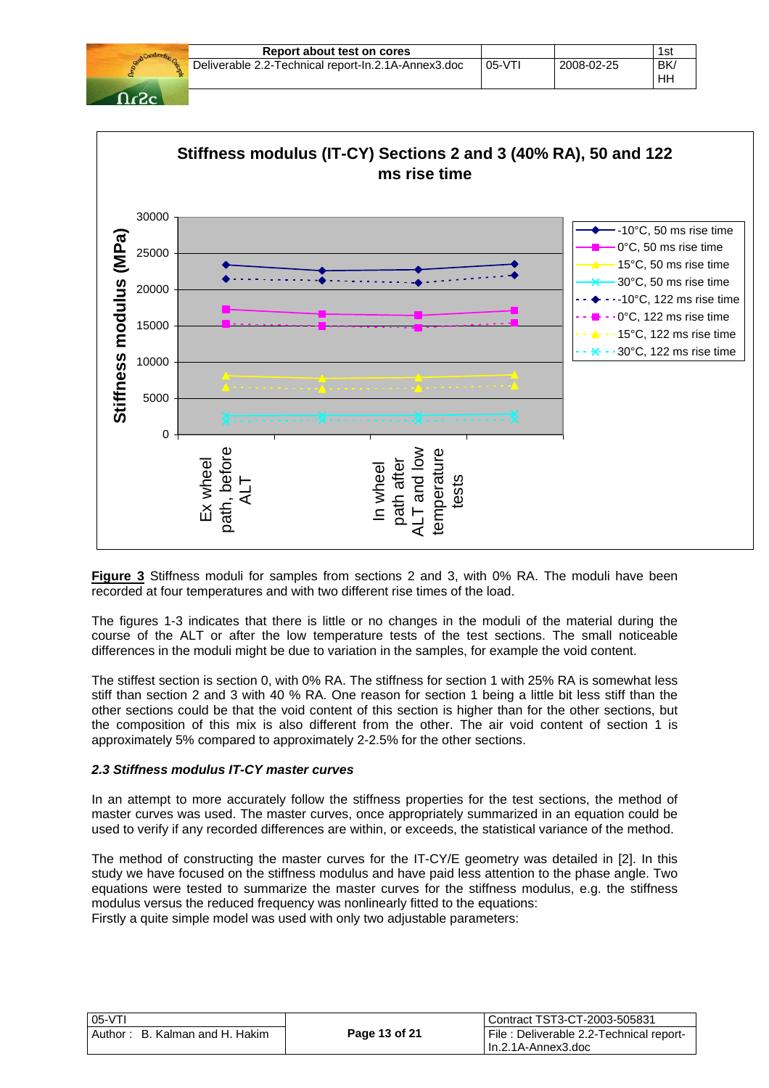|      | Report about test on cores                          |          |            | 1st |
|------|-----------------------------------------------------|----------|------------|-----|
|      | Deliverable 2.2-Technical report-In.2.1A-Annex3.doc | $05-VT1$ | 2008-02-25 | BK/ |
|      |                                                     |          |            | HН  |
| በሪፖሪ |                                                     |          |            |     |



**Figure 3** Stiffness moduli for samples from sections 2 and 3, with 0% RA. The moduli have been recorded at four temperatures and with two different rise times of the load.

The figures 1-3 indicates that there is little or no changes in the moduli of the material during the course of the ALT or after the low temperature tests of the test sections. The small noticeable differences in the moduli might be due to variation in the samples, for example the void content.

The stiffest section is section 0, with 0% RA. The stiffness for section 1 with 25% RA is somewhat less stiff than section 2 and 3 with 40 % RA. One reason for section 1 being a little bit less stiff than the other sections could be that the void content of this section is higher than for the other sections, but the composition of this mix is also different from the other. The air void content of section 1 is approximately 5% compared to approximately 2-2.5% for the other sections.

#### *2.3 Stiffness modulus IT-CY master curves*

In an attempt to more accurately follow the stiffness properties for the test sections, the method of master curves was used. The master curves, once appropriately summarized in an equation could be used to verify if any recorded differences are within, or exceeds, the statistical variance of the method.

The method of constructing the master curves for the IT-CY/E geometry was detailed in [2]. In this study we have focused on the stiffness modulus and have paid less attention to the phase angle. Two equations were tested to summarize the master curves for the stiffness modulus, e.g. the stiffness modulus versus the reduced frequency was nonlinearly fitted to the equations: Firstly a quite simple model was used with only two adjustable parameters:

| $05-VT$                          |               | l Contract TST3-CT-2003-505831          |
|----------------------------------|---------------|-----------------------------------------|
| l Author: B. Kalman and H. Hakim | Page 13 of 21 | File: Deliverable 2.2-Technical report- |
|                                  |               | I In.2.1A-Annex3.doc                    |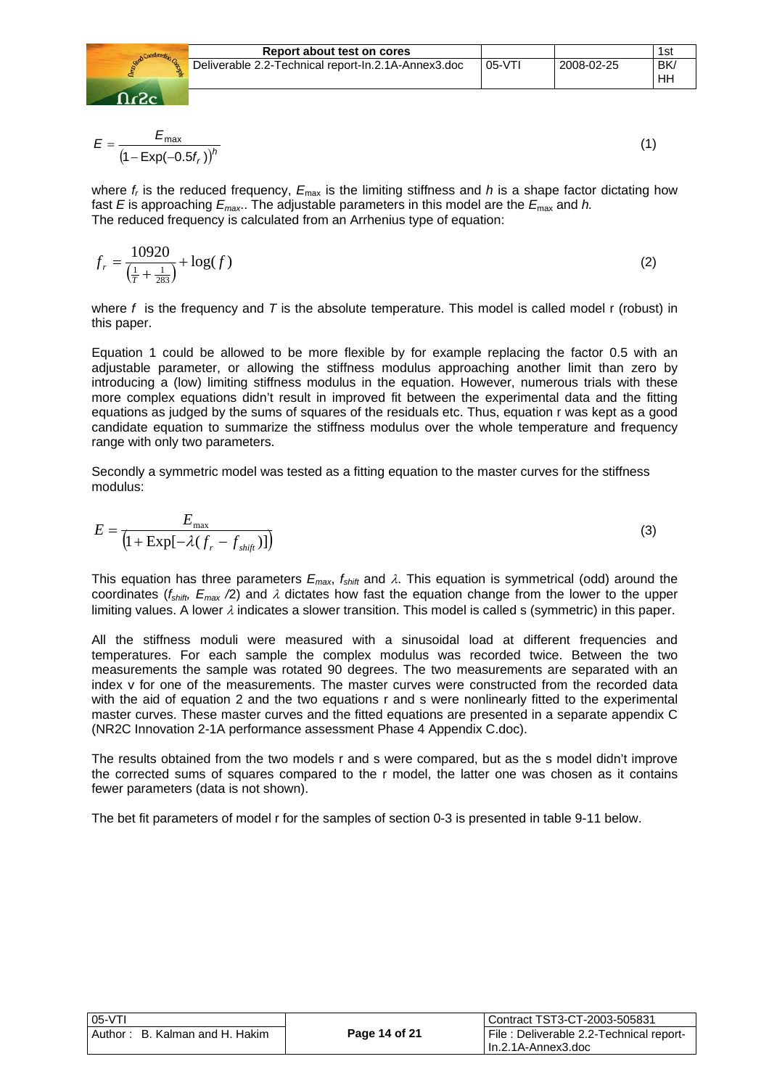

$$
E = \frac{E_{\text{max}}}{\left(1 - \text{Exp}(-0.5f_r)\right)^h} \tag{1}
$$

where  $f_r$  is the reduced frequency,  $E_{\text{max}}$  is the limiting stiffness and *h* is a shape factor dictating how fast *E* is approaching  $E_{\text{max}}$ . The adjustable parameters in this model are the  $E_{\text{max}}$  and *h*. The reduced frequency is calculated from an Arrhenius type of equation:

$$
f_r = \frac{10920}{\left(\frac{1}{T} + \frac{1}{283}\right)} + \log(f) \tag{2}
$$

where *f* is the frequency and *T* is the absolute temperature. This model is called model r (robust) in this paper.

Equation 1 could be allowed to be more flexible by for example replacing the factor 0.5 with an adjustable parameter, or allowing the stiffness modulus approaching another limit than zero by introducing a (low) limiting stiffness modulus in the equation. However, numerous trials with these more complex equations didn't result in improved fit between the experimental data and the fitting equations as judged by the sums of squares of the residuals etc. Thus, equation r was kept as a good candidate equation to summarize the stiffness modulus over the whole temperature and frequency range with only two parameters.

Secondly a symmetric model was tested as a fitting equation to the master curves for the stiffness modulus:

$$
E = \frac{E_{\text{max}}}{\left(1 + \text{Exp}[-\lambda(f_r - f_{\text{shift}})]\right)}
$$
(3)

This equation has three parameters  $E_{max}$ ,  $f_{shift}$  and  $\lambda$ . This equation is symmetrical (odd) around the coordinates ( $f_{shift}$ ,  $E_{max}$  /2) and  $\lambda$  dictates how fast the equation change from the lower to the upper limiting values. A lower  $\lambda$  indicates a slower transition. This model is called s (symmetric) in this paper.

All the stiffness moduli were measured with a sinusoidal load at different frequencies and temperatures. For each sample the complex modulus was recorded twice. Between the two measurements the sample was rotated 90 degrees. The two measurements are separated with an index v for one of the measurements. The master curves were constructed from the recorded data with the aid of equation 2 and the two equations r and s were nonlinearly fitted to the experimental master curves. These master curves and the fitted equations are presented in a separate appendix C (NR2C Innovation 2-1A performance assessment Phase 4 Appendix C.doc).

The results obtained from the two models r and s were compared, but as the s model didn't improve the corrected sums of squares compared to the r model, the latter one was chosen as it contains fewer parameters (data is not shown).

The bet fit parameters of model r for the samples of section 0-3 is presented in table 9-11 below.

| $05-VT$                        |               | Contract TST3-CT-2003-505831            |
|--------------------------------|---------------|-----------------------------------------|
| Author: B. Kalman and H. Hakim | Page 14 of 21 | File: Deliverable 2.2-Technical report- |
|                                |               | I In.2.1A-Annex3.doc                    |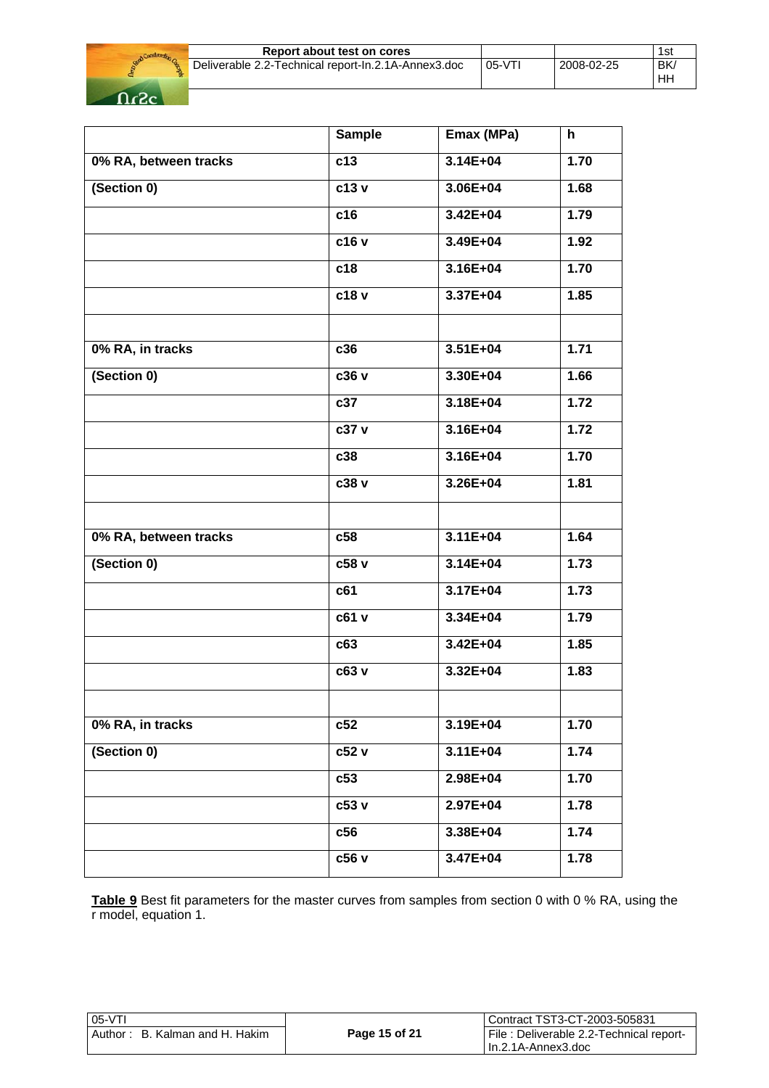

|            | 1st             |
|------------|-----------------|
| 2008-02-25 | <b>BK</b><br>Hh |
|            | $05-YT1$        |

|                       | <b>Sample</b> | Emax (MPa)   | h    |
|-----------------------|---------------|--------------|------|
| 0% RA, between tracks | c13           | 3.14E+04     | 1.70 |
| (Section 0)           | c13 v         | 3.06E+04     | 1.68 |
|                       | c16           | 3.42E+04     | 1.79 |
|                       | c16 v         | 3.49E+04     | 1.92 |
|                       | c18           | $3.16E + 04$ | 1.70 |
|                       | c18 v         | 3.37E+04     | 1.85 |
| 0% RA, in tracks      | c36           | $3.51E + 04$ | 1.71 |
|                       |               |              |      |
| (Section 0)           | c36 v         | 3.30E+04     | 1.66 |
|                       | c37           | 3.18E+04     | 1.72 |
|                       | c37 v         | $3.16E + 04$ | 1.72 |
|                       | c38           | 3.16E+04     | 1.70 |
|                       | c38 v         | 3.26E+04     | 1.81 |
|                       |               |              |      |
| 0% RA, between tracks | c58           | $3.11E + 04$ | 1.64 |
| (Section 0)           | c58 v         | 3.14E+04     | 1.73 |
|                       | c61           | $3.17E + 04$ | 1.73 |
|                       | c61 v         | 3.34E+04     | 1.79 |
|                       | c63           | $3.42E + 04$ | 1.85 |
|                       | c63 v         | $3.32E + 04$ | 1.83 |
|                       |               |              |      |
| 0% RA, in tracks      | c52           | 3.19E+04     | 1.70 |
| (Section 0)           | c52 v         | 3.11E+04     | 1.74 |
|                       | c53           | 2.98E+04     | 1.70 |
|                       | c53 v         | 2.97E+04     | 1.78 |
|                       | c56           | 3.38E+04     | 1.74 |
|                       | c56 v         | 3.47E+04     | 1.78 |

**Table 9** Best fit parameters for the master curves from samples from section 0 with 0 % RA, using the r model, equation 1.

| $05-VT$                            |               | Contract TST3-CT-2003-505831                                    |
|------------------------------------|---------------|-----------------------------------------------------------------|
| B. Kalman and H. Hakim<br>Author : | Page 15 of 21 | File: Deliverable 2.2-Technical report-<br>l In.2.1A-Annex3.doc |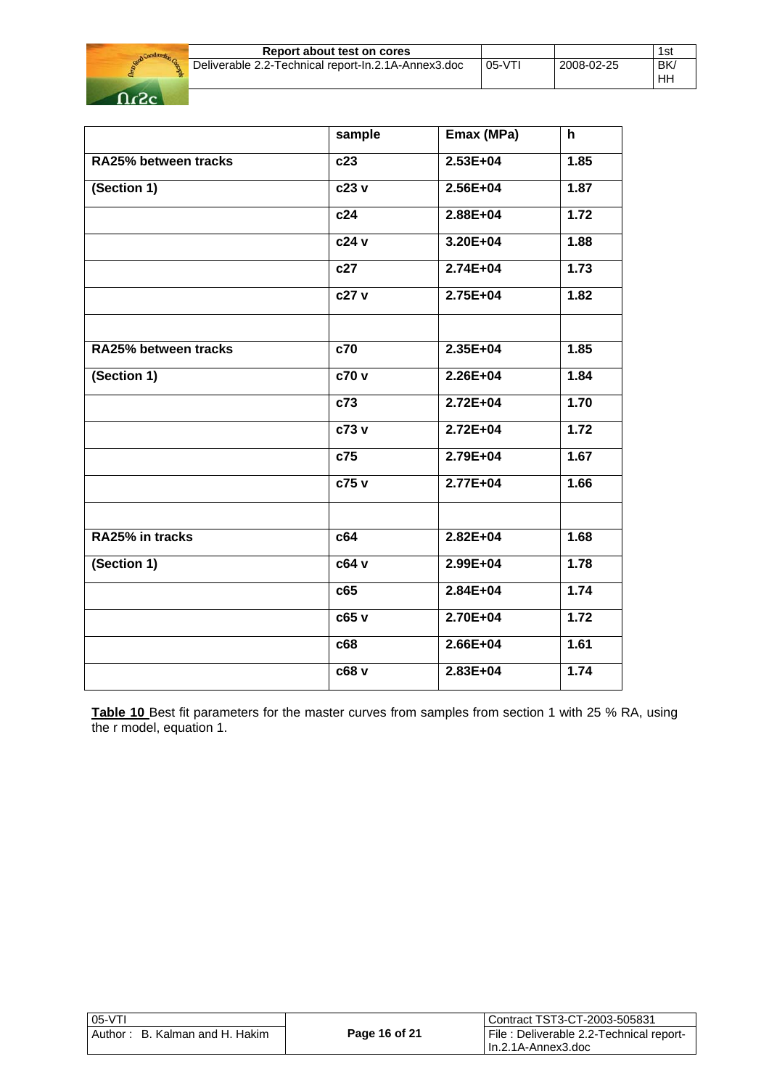

| Report about test on cores                          |          |            | 1si      |
|-----------------------------------------------------|----------|------------|----------|
| Deliverable 2.2-Technical report-In.2.1A-Annex3.doc | $05-VT1$ | 2008-02-25 | BK<br>HН |

|                      | sample | Emax (MPa)   | h    |
|----------------------|--------|--------------|------|
| RA25% between tracks | c23    | 2.53E+04     | 1.85 |
| (Section 1)          | c23 v  | 2.56E+04     | 1.87 |
|                      | c24    | $2.88E + 04$ | 1.72 |
|                      | c24 v  | 3.20E+04     | 1.88 |
|                      | c27    | $2.74E + 04$ | 1.73 |
|                      | c27 v  | $2.75E+04$   | 1.82 |
|                      |        |              |      |
| RA25% between tracks | c70    | $2.35E+04$   | 1.85 |
| (Section 1)          | c70v   | $2.26E + 04$ | 1.84 |
|                      | c73    | $2.72E + 04$ | 1.70 |
|                      | c73v   | $2.72E+04$   | 1.72 |
|                      | c75    | 2.79E+04     | 1.67 |
|                      | c75 v  | 2.77E+04     | 1.66 |
| RA25% in tracks      | c64    | $2.82E + 04$ | 1.68 |
|                      |        |              |      |
| (Section 1)          | c64 v  | 2.99E+04     | 1.78 |
|                      | c65    | $2.84E + 04$ | 1.74 |
|                      | c65v   | 2.70E+04     | 1.72 |
|                      | c68    | $2.66E + 04$ | 1.61 |
|                      | c68 v  | $2.83E+04$   | 1.74 |

**Table 10** Best fit parameters for the master curves from samples from section 1 with 25 % RA, using the r model, equation 1.

| $ 05-VT $                       |               | l Contract TST3-CT-2003-505831          |
|---------------------------------|---------------|-----------------------------------------|
| LAuthor: B. Kalman and H. Hakim | Page 16 of 21 | File: Deliverable 2.2-Technical report- |
|                                 |               | I In.2.1A-Annex3.doc                    |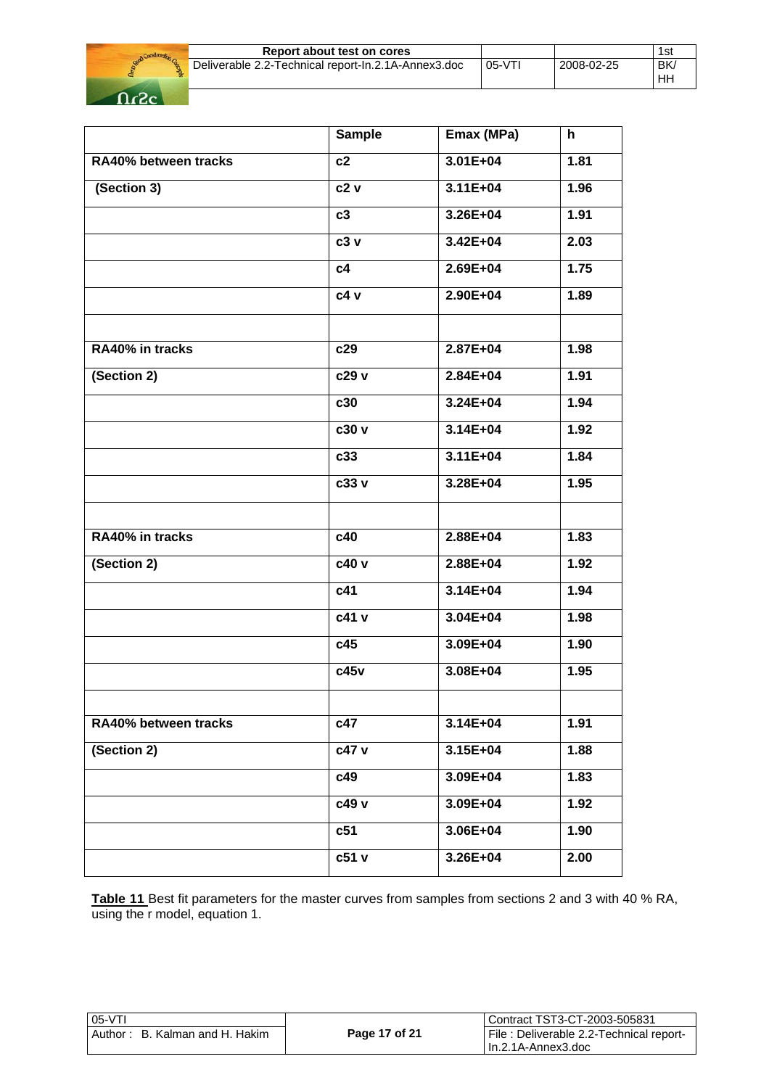

| Report about test on cores                          |          |            | 1si      |
|-----------------------------------------------------|----------|------------|----------|
| Deliverable 2.2-Technical report-In.2.1A-Annex3.doc | $05-VT1$ | 2008-02-25 | BK<br>НH |

|                      | <b>Sample</b>     | Emax (MPa)   | h    |
|----------------------|-------------------|--------------|------|
| RA40% between tracks | c2                | 3.01E+04     | 1.81 |
| (Section 3)          | c2v               | $3.11E + 04$ | 1.96 |
|                      | c3                | 3.26E+04     | 1.91 |
|                      | c3 v              | 3.42E+04     | 2.03 |
|                      | c4                | 2.69E+04     | 1.75 |
|                      | c4 v              | 2.90E+04     | 1.89 |
|                      |                   |              |      |
| RA40% in tracks      | c29               | $2.87E + 04$ | 1.98 |
| (Section 2)          | c29 v             | 2.84E+04     | 1.91 |
|                      | c30               | $3.24E + 04$ | 1.94 |
|                      | $c30\overline{v}$ | $3.14E + 04$ | 1.92 |
|                      | c33               | $3.11E + 04$ | 1.84 |
|                      | c33 v             | 3.28E+04     | 1.95 |
|                      |                   |              |      |
| RA40% in tracks      | c40               | 2.88E+04     | 1.83 |
| (Section 2)          | c40 v             | 2.88E+04     | 1.92 |
|                      | c41               | $3.14E + 04$ | 1.94 |
|                      | c41 v             | $3.04E + 04$ | 1.98 |
|                      | c45               | 3.09E+04     | 1.90 |
|                      | c45v              | $3.08E + 04$ | 1.95 |
|                      |                   |              |      |
| RA40% between tracks | c47               | $3.14E + 04$ | 1.91 |
| (Section 2)          | c47 v             | 3.15E+04     | 1.88 |
|                      | c49               | 3.09E+04     | 1.83 |
|                      | c49 v             | 3.09E+04     | 1.92 |
|                      | c51               | 3.06E+04     | 1.90 |
|                      | c51 v             | 3.26E+04     | 2.00 |
|                      |                   |              |      |

**Table 11** Best fit parameters for the master curves from samples from sections 2 and 3 with 40 % RA, using the r model, equation 1.

| 05-VTI                         |               | l Contract TST3-CT-2003-505831          |
|--------------------------------|---------------|-----------------------------------------|
| Author: B. Kalman and H. Hakim | Page 17 of 21 | File: Deliverable 2.2-Technical report- |
|                                |               | I In.2.1A-Annex3.doc                    |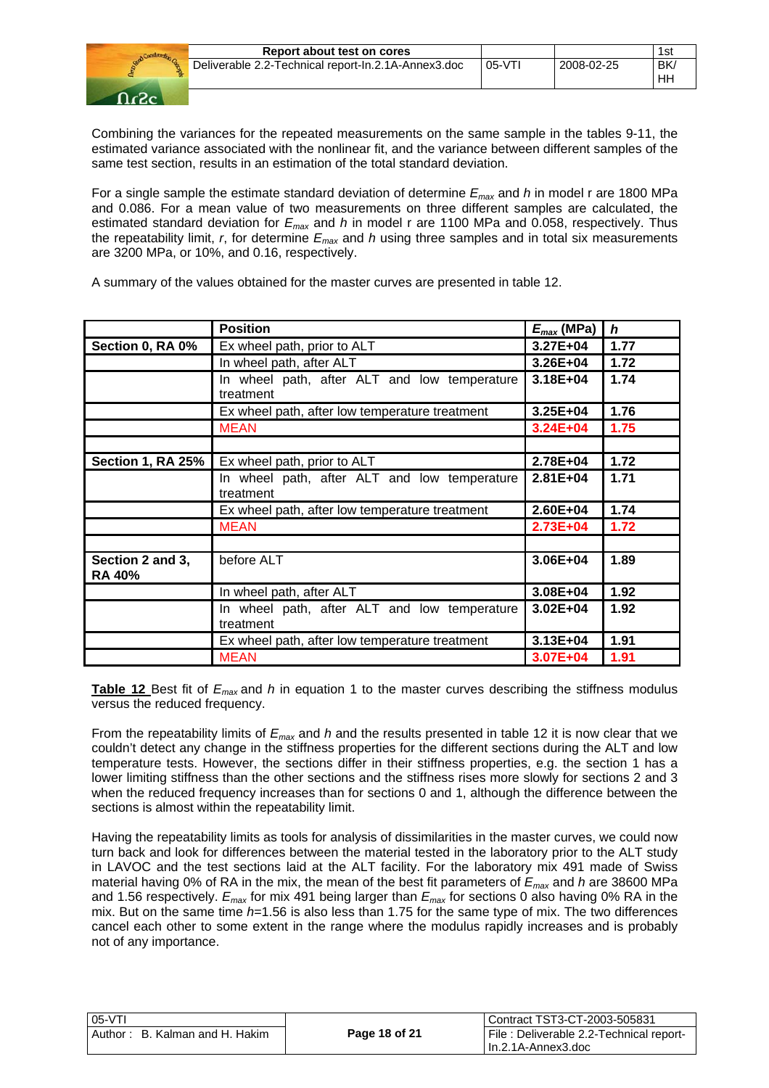

Combining the variances for the repeated measurements on the same sample in the tables 9-11, the estimated variance associated with the nonlinear fit, and the variance between different samples of the same test section, results in an estimation of the total standard deviation.

For a single sample the estimate standard deviation of determine *Emax* and *h* in model r are 1800 MPa and 0.086. For a mean value of two measurements on three different samples are calculated, the estimated standard deviation for *Emax* and *h* in model r are 1100 MPa and 0.058, respectively. Thus the repeatability limit, *r*, for determine *Emax* and *h* using three samples and in total six measurements are 3200 MPa, or 10%, and 0.16, respectively.

A summary of the values obtained for the master curves are presented in table 12.

|                                   | <b>Position</b>                                           | $E_{max}$ (MPa) | $\boldsymbol{h}$ |
|-----------------------------------|-----------------------------------------------------------|-----------------|------------------|
| Section 0, RA 0%                  | Ex wheel path, prior to ALT                               | 3.27E+04        | 1.77             |
|                                   |                                                           |                 |                  |
|                                   | In wheel path, after ALT                                  | $3.26E + 04$    | 1.72             |
|                                   | In wheel path, after ALT and low temperature<br>treatment | $3.18E + 04$    | 1.74             |
|                                   | Ex wheel path, after low temperature treatment            | $3.25E + 04$    | 1.76             |
|                                   | <b>MEAN</b>                                               | $3.24E + 04$    | 1.75             |
|                                   |                                                           |                 |                  |
| Section 1, RA 25%                 | Ex wheel path, prior to ALT                               | 2.78E+04        | 1.72             |
|                                   | In wheel path, after ALT and low temperature<br>treatment | $2.81E + 04$    | 1.71             |
|                                   | Ex wheel path, after low temperature treatment            | 2.60E+04        | 1.74             |
|                                   | <b>MEAN</b>                                               | $2.73E + 04$    | 1.72             |
|                                   |                                                           |                 |                  |
| Section 2 and 3,<br><b>RA 40%</b> | before ALT                                                | $3.06E + 04$    | 1.89             |
|                                   | In wheel path, after ALT                                  | 3.08E+04        | 1.92             |
|                                   | In wheel path, after ALT and low temperature              | $3.02E + 04$    | 1.92             |
|                                   | treatment                                                 |                 |                  |
|                                   | Ex wheel path, after low temperature treatment            | $3.13E + 04$    | 1.91             |
|                                   | <b>MEAN</b>                                               | $3.07E + 04$    | 1.91             |

**Table 12** Best fit of *Emax* and *h* in equation 1 to the master curves describing the stiffness modulus versus the reduced frequency.

From the repeatability limits of *Emax* and *h* and the results presented in table 12 it is now clear that we couldn't detect any change in the stiffness properties for the different sections during the ALT and low temperature tests. However, the sections differ in their stiffness properties, e.g. the section 1 has a lower limiting stiffness than the other sections and the stiffness rises more slowly for sections 2 and 3 when the reduced frequency increases than for sections 0 and 1, although the difference between the sections is almost within the repeatability limit.

Having the repeatability limits as tools for analysis of dissimilarities in the master curves, we could now turn back and look for differences between the material tested in the laboratory prior to the ALT study in LAVOC and the test sections laid at the ALT facility. For the laboratory mix 491 made of Swiss material having 0% of RA in the mix, the mean of the best fit parameters of *Emax* and *h* are 38600 MPa and 1.56 respectively. *Emax* for mix 491 being larger than *Emax* for sections 0 also having 0% RA in the mix. But on the same time *h*=1.56 is also less than 1.75 for the same type of mix. The two differences cancel each other to some extent in the range where the modulus rapidly increases and is probably not of any importance.

| 05-VTI                         |               | l Contract TST3-CT-2003-505831          |
|--------------------------------|---------------|-----------------------------------------|
| Author: B. Kalman and H. Hakim | Page 18 of 21 | File: Deliverable 2.2-Technical report- |
|                                |               | l In.2.1A-Annex3.doc                    |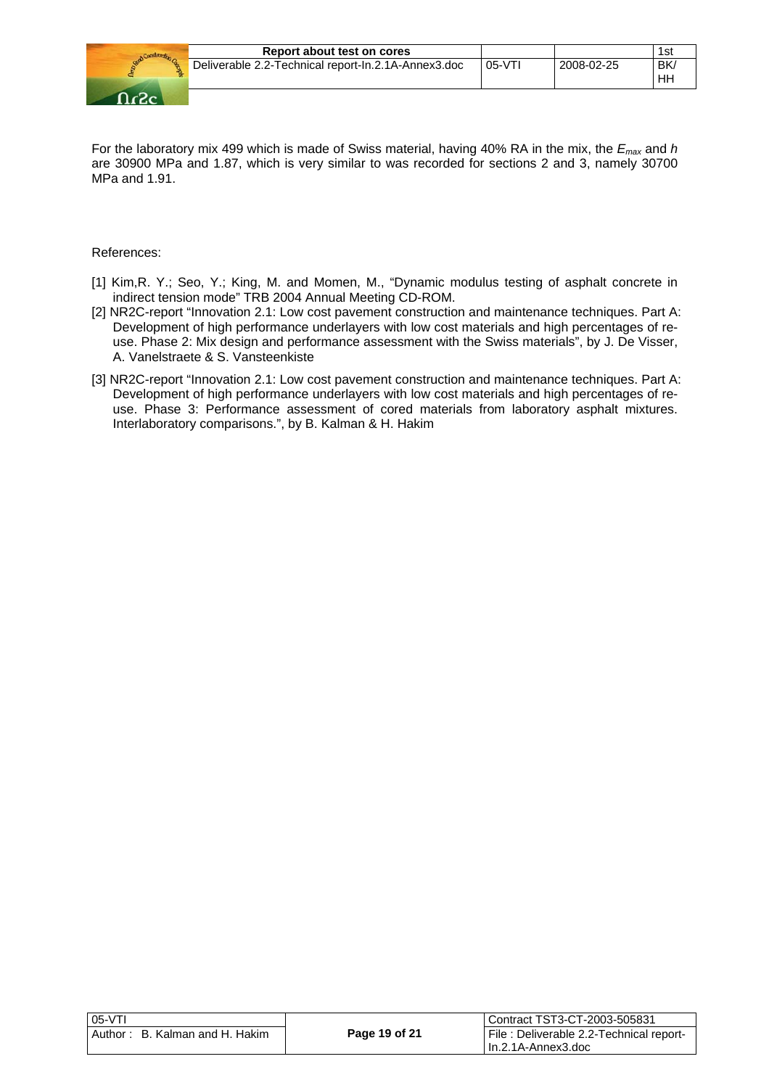

| Report about test on cores                          |          |            | 1st |
|-----------------------------------------------------|----------|------------|-----|
| Deliverable 2.2-Technical report-In.2.1A-Annex3.doc | $05-VT1$ | 2008-02-25 | BK. |
|                                                     |          |            | ΗH  |

For the laboratory mix 499 which is made of Swiss material, having 40% RA in the mix, the *Emax* and *h* are 30900 MPa and 1.87, which is very similar to was recorded for sections 2 and 3, namely 30700 MPa and 1.91.

#### References:

- [1] Kim,R. Y.; Seo, Y.; King, M. and Momen, M., "Dynamic modulus testing of asphalt concrete in indirect tension mode" TRB 2004 Annual Meeting CD-ROM.
- [2] NR2C-report "Innovation 2.1: Low cost pavement construction and maintenance techniques. Part A: Development of high performance underlayers with low cost materials and high percentages of reuse. Phase 2: Mix design and performance assessment with the Swiss materials", by J. De Visser, A. Vanelstraete & S. Vansteenkiste
- [3] NR2C-report "Innovation 2.1: Low cost pavement construction and maintenance techniques. Part A: Development of high performance underlayers with low cost materials and high percentages of reuse. Phase 3: Performance assessment of cored materials from laboratory asphalt mixtures. Interlaboratory comparisons.", by B. Kalman & H. Hakim

| i 05-VTI                       |               | Contract TST3-CT-2003-505831             |
|--------------------------------|---------------|------------------------------------------|
| Author: B. Kalman and H. Hakim | Page 19 of 21 | File : Deliverable 2.2-Technical report- |
|                                |               | l In.2.1A-Annex3.doc                     |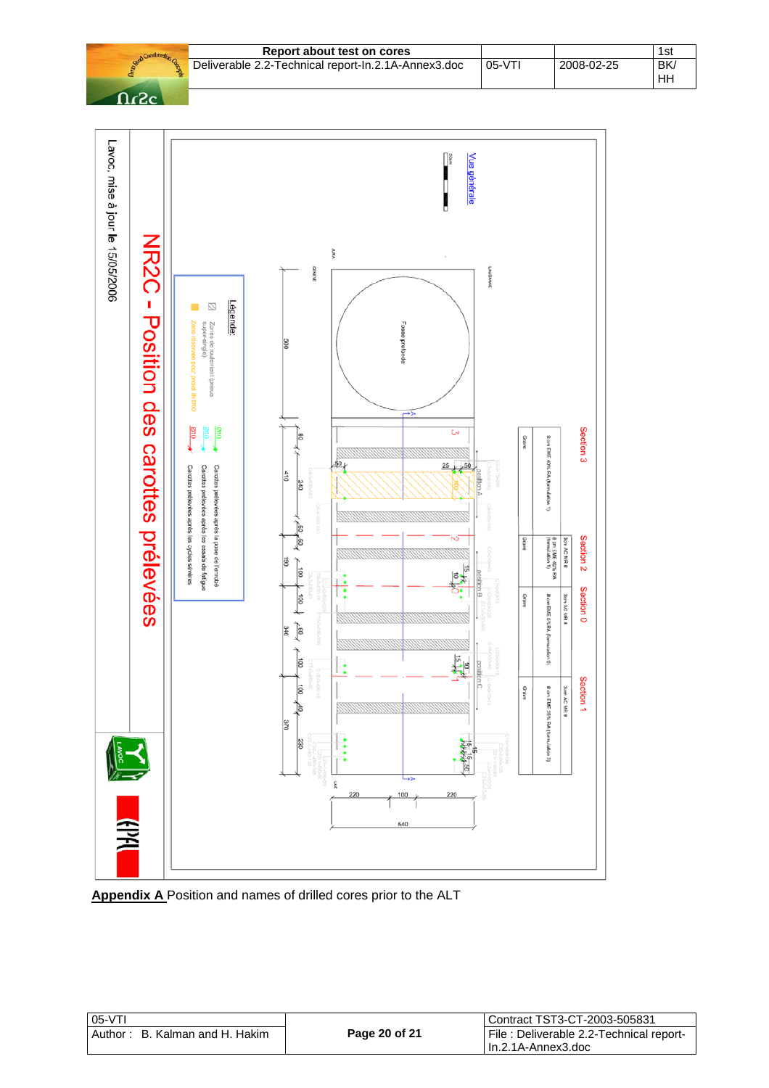|        | Report about test on cores                          |          |            | 1st             |
|--------|-----------------------------------------------------|----------|------------|-----------------|
|        | Deliverable 2.2-Technical report-In.2.1A-Annex3.doc | $05-VT1$ | 2008-02-25 | <b>BK</b><br>HH |
| $\neg$ |                                                     |          |            |                 |



**Appendix A** Position and names of drilled cores prior to the ALT

| $05-VT$                            |               | Contract TST3-CT-2003-505831             |
|------------------------------------|---------------|------------------------------------------|
| B. Kalman and H. Hakim<br>Author : | Page 20 of 21 | File : Deliverable 2.2-Technical report- |
|                                    |               | l In.2.1A-Annex3.doc                     |